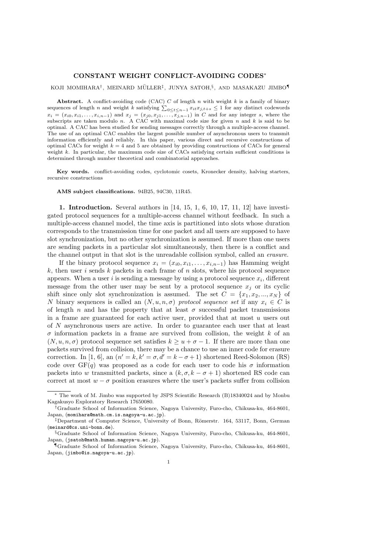## CONSTANT WEIGHT CONFLICT-AVOIDING CODES<sup>∗</sup>

### KOJI MOMIHARA†, MEINARD MÜLLER‡, JUNYA SATOH, $\S$ , AND MASAKAZU JIMBO $^\P$

Abstract. A conflict-avoiding code (CAC) C of length n with weight k is a family of binary sequences of length n and weight k satisfying  $\sum_{0 \le t \le n-1} x_{it} x_{j,t+s} \le 1$  for any distinct codewords  $x_i = (x_{i0}, x_{i1}, \ldots, x_{i,n-1})$  and  $x_j = (x_{j0}, x_{j1}, \ldots, x_{j,n-1})$  in C and for any integer s, where the subscripts are taken modulo n. A CAC with maximal code size for given n and  $k$  is said to be optimal. A CAC has been studied for sending messages correctly through a multiple-access channel. The use of an optimal CAC enables the largest possible number of asynchronous users to transmit information efficiently and reliably. In this paper, various direct and recursive constructions of optimal CACs for weight  $k = 4$  and 5 are obtained by providing constructions of CACs for general weight k. In particular, the maximum code size of CACs satisfying certain sufficient conditions is determined through number theoretical and combinatorial approaches.

Key words. conflict-avoiding codes, cyclotomic cosets, Kronecker density, halving starters, recursive constructions

AMS subject classifications. 94B25, 94C30, 11R45.

1. Introduction. Several authors in [14, 15, 1, 6, 10, 17, 11, 12] have investigated protocol sequences for a multiple-access channel without feedback. In such a multiple-access channel model, the time axis is partitioned into slots whose duration corresponds to the transmission time for one packet and all users are supposed to have slot synchronization, but no other synchronization is assumed. If more than one users are sending packets in a particular slot simultaneously, then there is a conflict and the channel output in that slot is the unreadable collision symbol, called an erasure.

If the binary protocol sequence  $x_i = (x_{i0}, x_{i1}, \ldots, x_{i,n-1})$  has Hamming weight  $k$ , then user i sends k packets in each frame of n slots, where his protocol sequence appears. When a user i is sending a message by using a protocol sequence  $x_i$ , different message from the other user may be sent by a protocol sequence  $x_i$  or its cyclic shift since only slot synchronization is assumed. The set  $C = \{x_1, x_2, ..., x_N\}$  of N binary sequences is called an  $(N, u, n, \sigma)$  protocol sequence set if any  $x_i \in C$  is of length n and has the property that at least  $\sigma$  successful packet transmissions in a frame are guaranteed for each active user, provided that at most  $u$  users out of N asynchronous users are active. In order to guarantee each user that at least  $\sigma$  information packets in a frame are survived from collision, the weight k of an  $(N, u, n, \sigma)$  protocol sequence set satisfies  $k > u + \sigma - 1$ . If there are more than one packets survived from collision, there may be a chance to use an inner code for erasure correction. In [1, 6], an  $(n' = k, k' = \sigma, d' = k - \sigma + 1)$  shortened Reed-Solomon (RS) code over  $GF(q)$  was proposed as a code for each user to code his  $\sigma$  information packets into w transmitted packets, since a  $(k, \sigma, k - \sigma + 1)$  shortened RS code can correct at most  $w - \sigma$  position erasures where the user's packets suffer from collision

<sup>∗</sup> The work of M. Jimbo was supported by JSPS Scientific Research (B)18340024 and by Monbu Kagakusyo Exploratory Research 17650080.

<sup>†</sup>Graduate School of Information Science, Nagoya University, Furo-cho, Chikusa-ku, 464-8601, Japan, (momihara@math.cm.is.nagoya-u.ac.jp).

<sup>&</sup>lt;sup>‡</sup>Department of Computer Science, University of Bonn, Römerstr. 164, 53117, Bonn, German (meinard@cs.uni-bonn.de).

<sup>§</sup>Graduate School of Information Science, Nagoya University, Furo-cho, Chikusa-ku, 464-8601, Japan, (jsatoh@math.human.nagoya-u.ac.jp).

<sup>¶</sup>Graduate School of Information Science, Nagoya University, Furo-cho, Chikusa-ku, 464-8601, Japan, (jimbo@is.nagoya-u.ac.jp).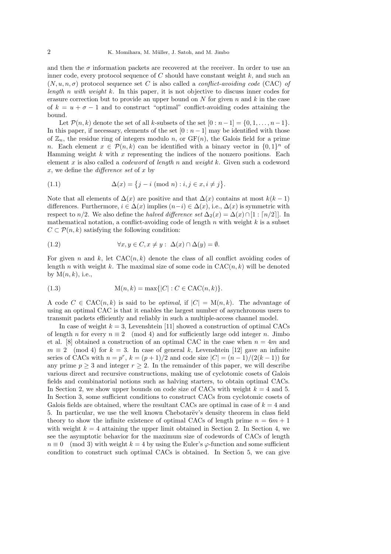and then the  $\sigma$  information packets are recovered at the receiver. In order to use an inner code, every protocol sequence of  $C$  should have constant weight  $k$ , and such an  $(N, u, n, \sigma)$  protocol sequence set C is also called a *conflict-avoiding code* (CAC) of length n with weight k. In this paper, it is not objective to discuss inner codes for erasure correction but to provide an upper bound on N for given n and k in the case of  $k = u + \sigma - 1$  and to construct "optimal" conflict-avoiding codes attaining the bound.

Let  $\mathcal{P}(n, k)$  denote the set of all k-subsets of the set  $[0 : n-1] = \{0, 1, \ldots, n-1\}.$ In this paper, if necessary, elements of the set  $[0 : n - 1]$  may be identified with those of  $\mathbb{Z}_n$ , the residue ring of integers modulo n, or  $GF(n)$ , the Galois field for a prime n. Each element  $x \in \mathcal{P}(n,k)$  can be identified with a binary vector in  $\{0,1\}^n$  of Hamming weight  $k$  with  $x$  representing the indices of the nonzero positions. Each element x is also called a *codeword* of *length* n and *weight* k. Given such a codeword x, we define the difference set of x by

(1.1) 
$$
\Delta(x) = \{j - i \pmod{n} : i, j \in x, i \neq j\}.
$$

Note that all elements of  $\Delta(x)$  are positive and that  $\Delta(x)$  contains at most  $k(k-1)$ differences. Furthermore,  $i \in \Delta(x)$  implies  $(n-i) \in \Delta(x)$ , i.e.,  $\Delta(x)$  is symmetric with respect to  $n/2$ . We also define the *halved difference set*  $\Delta_2(x) = \Delta(x) \cap [1 : [n/2]$ . In mathematical notation, a conflict-avoiding code of length  $n$  with weight  $k$  is a subset  $C \subset \mathcal{P}(n,k)$  satisfying the following condition:

(1.2) 
$$
\forall x, y \in C, x \neq y: \ \Delta(x) \cap \Delta(y) = \emptyset.
$$

For given n and k, let  $CAC(n, k)$  denote the class of all conflict avoiding codes of length n with weight k. The maximal size of some code in  $CAC(n, k)$  will be denoted by  $M(n, k)$ , i.e.,

(1.3) 
$$
M(n,k) = \max\{|C| : C \in CAC(n,k)\}.
$$

A code  $C \in \text{CAC}(n, k)$  is said to be *optimal*, if  $|C| = M(n, k)$ . The advantage of using an optimal CAC is that it enables the largest number of asynchronous users to transmit packets efficiently and reliably in such a multiple-access channel model.

In case of weight  $k = 3$ , Levenshtein [11] showed a construction of optimal CACs of length n for every  $n \equiv 2 \pmod{4}$  and for sufficiently large odd integer n. Jimbo et al. [8] obtained a construction of an optimal CAC in the case when  $n = 4m$  and  $m \equiv 2 \pmod{4}$  for  $k = 3$ . In case of general k, Levenshtein [12] gave an infinite series of CACs with  $n = p^r$ ,  $k = (p+1)/2$  and code size  $|C| = (n-1)/(2(k-1))$  for any prime  $p \geq 3$  and integer  $r \geq 2$ . In the remainder of this paper, we will describe various direct and recursive constructions, making use of cyclotomic cosets of Galois fields and combinatorial notions such as halving starters, to obtain optimal CACs. In Section 2, we show upper bounds on code size of CACs with weight  $k = 4$  and 5. In Section 3, some sufficient conditions to construct CACs from cyclotomic cosets of Galois fields are obtained, where the resultant CACs are optimal in case of  $k = 4$  and 5. In particular, we use the well known Chebotarëv's density theorem in class field theory to show the infinite existence of optimal CACs of length prime  $n = 6m + 1$ with weight  $k = 4$  attaining the upper limit obtained in Section 2. In Section 4, we see the asymptotic behavior for the maximum size of codewords of CACs of length  $n \equiv 0 \pmod{3}$  with weight  $k = 4$  by using the Euler's  $\varphi$ -function and some sufficient condition to construct such optimal CACs is obtained. In Section 5, we can give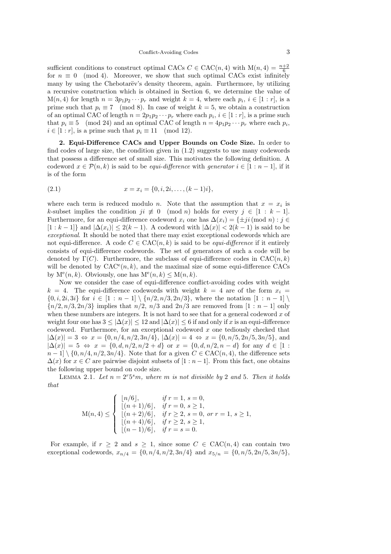sufficient conditions to construct optimal CACs  $C \in \text{CAC}(n, 4)$  with  $M(n, 4) = \frac{n+2}{6}$ for  $n \equiv 0 \pmod{4}$ . Moreover, we show that such optimal CACs exist infinitely many by using the Chebotarëv's density theorem, again. Furthermore, by utilizing a recursive construction which is obtained in Section 6, we determine the value of  $M(n, 4)$  for length  $n = 3p_1p_2 \cdots p_r$  and weight  $k = 4$ , where each  $p_i, i \in [1 : r]$ , is a prime such that  $p_i \equiv 7 \pmod{8}$ . In case of weight  $k = 5$ , we obtain a construction of an optimal CAC of length  $n = 2p_1p_2 \cdots p_r$  where each  $p_i, i \in [1:r]$ , is a prime such that  $p_i \equiv 5 \pmod{24}$  and an optimal CAC of length  $n = 4p_1p_2 \cdots p_r$  where each  $p_i$ ,  $i \in [1 : r]$ , is a prime such that  $p_i \equiv 11 \pmod{12}$ .

2. Equi-Difference CACs and Upper Bounds on Code Size. In order to find codes of large size, the condition given in (1.2) suggests to use many codewords that possess a difference set of small size. This motivates the following definition. A codeword  $x \in \mathcal{P}(n,k)$  is said to be *equi-difference* with *generator*  $i \in [1:n-1]$ , if it is of the form

(2.1) 
$$
x = x_i = \{0, i, 2i, \dots, (k-1)i\},\
$$

where each term is reduced modulo *n*. Note that the assumption that  $x = x_i$  is k-subset implies the condition  $ji \neq 0 \pmod{n}$  holds for every  $j \in [1 : k - 1]$ . Furthermore, for an equi-difference codeword  $x_i$  one has  $\Delta(x_i) = {\pm i \in (mod n) : i \in$  $[1 : k - 1]$  and  $|\Delta(x_i)| \leq 2(k - 1)$ . A codeword with  $|\Delta(x)| < 2(k - 1)$  is said to be exceptional. It should be noted that there may exist exceptional codewords which are not equi-difference. A code  $C \in \text{CAC}(n, k)$  is said to be *equi-difference* if it entirely consists of equi-difference codewords. The set of generators of such a code will be denoted by  $\Gamma(C)$ . Furthermore, the subclass of equi-difference codes in CAC $(n, k)$ will be denoted by  $CAC^{e}(n, k)$ , and the maximal size of some equi-difference CACs by  $M^e(n, k)$ . Obviously, one has  $M^e(n, k) \leq M(n, k)$ .

Now we consider the case of equi-difference conflict-avoiding codes with weight  $k = 4$ . The equi-difference codewords with weight  $k = 4$  are of the form  $x_i =$  $\{0, i, 2i, 3i\}$  for  $i \in [1 : n-1] \setminus \{n/2, n/3, 2n/3\}$ , where the notation  $[1 : n-1] \setminus$  ${n/2, n/3, 2n/3}$  implies that  $n/2, n/3$  and  $2n/3$  are removed from  $[1 : n - 1]$  only when these numbers are integers. It is not hard to see that for a general codeword  $x$  of weight four one has  $3 \leq |\Delta(x)| \leq 12$  and  $|\Delta(x)| \leq 6$  if and only if x is an equi-difference codeword. Furthermore, for an exceptional codeword x one tediously checked that  $|\Delta(x)| = 3 \Leftrightarrow x = \{0, n/4, n/2, 3n/4\}, |\Delta(x)| = 4 \Leftrightarrow x = \{0, n/5, 2n/5, 3n/5\},$  and  $|\Delta(x)| = 5 \Leftrightarrow x = \{0, d, n/2, n/2 + d\}$  or  $x = \{0, d, n/2, n - d\}$  for any  $d \in [1 : 1]$  $n-1$  \  $\{0, n/4, n/2, 3n/4\}$ . Note that for a given  $C \in CAC(n, 4)$ , the difference sets  $\Delta(x)$  for  $x \in C$  are pairwise disjoint subsets of  $[1:n-1]$ . From this fact, one obtains the following upper bound on code size.

LEMMA 2.1. Let  $n = 2<sup>r</sup>5<sup>s</sup>m$ , where m is not divisible by 2 and 5. Then it holds that

$$
\mathcal{M}(n,4) \leq \left\{ \begin{array}{ll} \lfloor n/6 \rfloor, & \text{if } r=1, \ s=0, \\ \lfloor (n+1)/6 \rfloor, & \text{if } r=0, \ s\geq 1, \\ \lfloor (n+2)/6 \rfloor, & \text{if } r\geq 2, \ s=0, \ or \ r=1, \ s\geq 1, \\ \lfloor (n+4)/6 \rfloor, & \text{if } r\geq 2, \ s\geq 1, \\ \lfloor (n-1)/6 \rfloor, & \text{if } r=s=0. \end{array} \right.
$$

For example, if  $r \geq 2$  and  $s \geq 1$ , since some  $C \in \text{CAC}(n, 4)$  can contain two exceptional codewords,  $x_{n/4} = \{0, n/4, n/2, 3n/4\}$  and  $x_{5/n} = \{0, n/5, 2n/5, 3n/5\}$ ,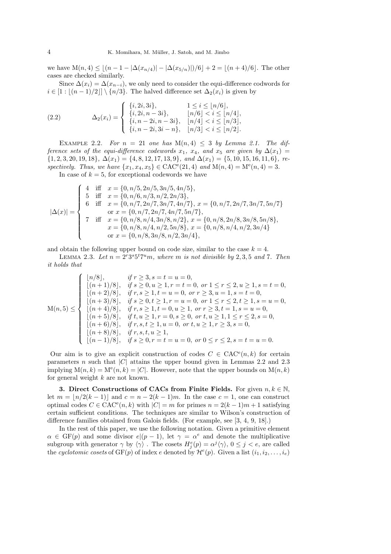we have  $M(n, 4) \leq \lfloor (n-1 - |\Delta(x_{n/4})| - |\Delta(x_{5/n})|)/6 \rfloor + 2 = \lfloor (n+4)/6 \rfloor$ . The other cases are checked similarly.

Since  $\Delta(x_i) = \Delta(x_{n-i})$ , we only need to consider the equi-difference codwords for  $i \in [1 : [(n-1)/2]] \setminus \{n/3\}.$  The halved difference set  $\Delta_2(x_i)$  is given by

(2.2) 
$$
\Delta_2(x_i) = \begin{cases} \{i, 2i, 3i\}, & 1 \le i \le \lfloor n/6 \rfloor, \\ \{i, 2i, n-3i\}, & \lfloor n/6 \rfloor < i \le \lfloor n/4 \rfloor, \\ \{i, n-2i, n-3i\}, & \lfloor n/4 \rfloor < i \le \lfloor n/3 \rfloor, \\ \{i, n-2i, 3i-n\}, & \lfloor n/3 \rfloor < i \le \lfloor n/2 \rfloor. \end{cases}
$$

EXAMPLE 2.2. For  $n = 21$  one has  $M(n, 4) \leq 3$  by Lemma 2.1. The difference sets of the equi-difference codewords  $x_1, x_4$ , and  $x_5$  are given by  $\Delta(x_1)$  =  ${1, 2, 3, 20, 19, 18}, \Delta(x_1) = {4, 8, 12, 17, 13, 9}, \text{ and } \Delta(x_1) = {5, 10, 15, 16, 11, 6}, \text{ }$ spectively. Thus, we have  $\{x_1, x_4, x_5\} \in \text{CAC}^e(21, 4)$  and  $M(n, 4) = M^e(n, 4) = 3$ .

In case of  $k = 5$ , for exceptional codewords we have

$$
|\Delta(x)| = \begin{cases} 4 & \text{iff } x = \{0, n/5, 2n/5, 3n/5, 4n/5\}, \\ 5 & \text{iff } x = \{0, n/6, n/3, n/2, 2n/3\}, \\ 6 & \text{iff } x = \{0, n/7, 2n/7, 3n/7, 4n/7\}, x = \{0, n/7, 2n/7, 3n/7, 5n/7\} \\ & \text{or } x = \{0, n/7, 2n/7, 4n/7, 5n/7\}, \\ 7 & \text{iff } x = \{0, n/8, n/4, 3n/8, n/2\}, x = \{0, n/8, 2n/8, 3n/8, 5n/8\}, \\ x = \{0, n/8, n/4, n/2, 5n/8\}, x = \{0, n/8, n/4, n/2, 3n/4\} \\ & \text{or } x = \{0, n/8, 3n/8, n/2, 3n/4\}, \end{cases}
$$

and obtain the following upper bound on code size, similar to the case  $k = 4$ .

LEMMA 2.3. Let  $n = 2^r 3^s 5^t 7^u m$ , where m is not divisible by 2,3,5 and 7. Then it holds that

$$
M(n,5) \leq \begin{cases} \lfloor n/8 \rfloor, & \text{if } r \geq 3, s = t = u = 0, \\ \lfloor (n+1)/8 \rfloor, & \text{if } s \geq 0, u \geq 1, r = t = 0, \text{ or } 1 \leq r \leq 2, u \geq 1, s = t = 0, \\ \lfloor (n+2)/8 \rfloor, & \text{if } r, s \geq 1, t = u = 0, \text{ or } r \geq 3, u = 1, s = t = 0, \\ \lfloor (n+3)/8 \rfloor, & \text{if } s \geq 0, t \geq 1, r = u = 0, \text{ or } 1 \leq r \leq 2, t \geq 1, s = u = 0, \\ \lfloor (n+4)/8 \rfloor, & \text{if } r, s \geq 1, t = 0, u \geq 1, \text{ or } r \geq 3, t = 1, s = u = 0, \\ \lfloor (n+5)/8 \rfloor, & \text{if } r, s, t \geq 1, u = 0, \text{ or } t, u \geq 1, r \geq 3, s = 0, \\ \lfloor (n+6)/8 \rfloor, & \text{if } r, s, t, u \geq 1, \\ \lfloor (n+8)/8 \rfloor, & \text{if } r, s, t, u \geq 1, \\ \lfloor (n-1)/8 \rfloor, & \text{if } r, s, t, u \geq 1, \\ \end{cases}
$$

Our aim is to give an explicit construction of codes  $C \in \text{CAC}^e(n,k)$  for certain parameters n such that  $|C|$  attains the upper bound given in Lemmas 2.2 and 2.3 implying  $M(n, k) = M^e(n, k) = |C|$ . However, note that the upper bounds on  $M(n, k)$ for general weight  $k$  are not known.

3. Direct Constructions of CACs from Finite Fields. For given  $n, k \in \mathbb{N}$ , let  $m = |n/2(k-1)|$  and  $c = n - 2(k-1)m$ . In the case  $c = 1$ , one can construct optimal codes  $C \in \text{CAC}^e(n, k)$  with  $|C| = m$  for primes  $n = 2(k - 1)m + 1$  satisfying certain sufficient conditions. The techniques are similar to Wilson's construction of difference families obtained from Galois fields. (For example, see [3, 4, 9, 18].)

In the rest of this paper, we use the following notation. Given a primitive element  $\alpha \in \mathrm{GF}(p)$  and some divisor  $e|(p-1)$ , let  $\gamma = \alpha^e$  and denote the multiplicative subgroup with generator  $\gamma$  by  $\langle \gamma \rangle$ . The cosets  $H_j^e(p) = \alpha^j \langle \gamma \rangle$ ,  $0 \le j < e$ , are called the cyclotomic cosets of  $GF(p)$  of index e denoted by  $\mathcal{H}^e(p)$ . Given a list  $(i_1, i_2, \ldots, i_e)$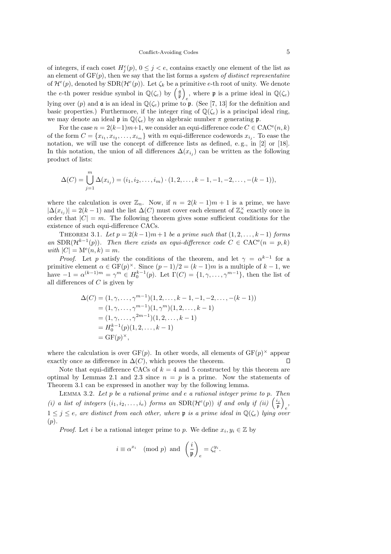### Conflict-Avoiding Codes 5

of integers, if each coset  $H_j^e(p)$ ,  $0 \leq j < e$ , contains exactly one element of the list as an element of  $GF(p)$ , then we say that the list forms a system of distinct representative of  $\mathcal{H}^e(p)$ , denoted by  $SDR(\mathcal{H}^e(p))$ . Let  $\zeta_k$  be a primitive e-th root of unity. We denote the e-th power residue symbol in  $\mathbb{Q}(\zeta_e)$  by  $\left(\frac{\mathfrak{a}}{\mathfrak{p}}\right)$ , where **p** is a prime ideal in  $\mathbb{Q}(\zeta_e)$ lying over (p) and  $\mathfrak a$  is an ideal in  $\mathbb Q(\zeta_e)$  prime to  $\mathfrak p$ . (See [7, 13] for the definition and basic properties.) Furthermore, if the integer ring of  $\mathbb{Q}(\zeta_e)$  is a principal ideal ring, we may denote an ideal **p** in  $\mathbb{Q}(\zeta_e)$  by an algebraic number  $\pi$  generating **p**.

For the case  $n = 2(k-1)m+1$ , we consider an equi-difference code  $C \in \text{CAC}^e(n, k)$ of the form  $C = \{x_{i_1}, x_{i_2}, \ldots, x_{i_m}\}\$  with m equi-difference codewords  $x_{i_j}$ . To ease the notation, we will use the concept of difference lists as defined, e. g., in [2] or [18]. In this notation, the union of all differences  $\Delta(x_{i_j})$  can be written as the following product of lists:

$$
\Delta(C) = \bigcup_{j=1}^{m} \Delta(x_{i_j}) = (i_1, i_2, \dots, i_m) \cdot (1, 2, \dots, k-1, -1, -2, \dots, -(k-1)),
$$

where the calculation is over  $\mathbb{Z}_n$ . Now, if  $n = 2(k-1)m + 1$  is a prime, we have  $|\Delta(x_{i_j})| = 2(k-1)$  and the list  $\Delta(C)$  must cover each element of  $\mathbb{Z}_n^{\times}$  exactly once in order that  $|C| = m$ . The following theorem gives some sufficient conditions for the existence of such equi-difference CACs.

THEOREM 3.1. Let  $p = 2(k-1)m + 1$  be a prime such that  $(1, 2, \ldots, k-1)$  forms an  $SDR(\mathcal{H}^{k-1}(p))$ . Then there exists an equi-difference code  $C \in CAC^{e}(n = p, k)$ with  $|C| = M^e(n,k) = m$ .

*Proof.* Let p satisfy the conditions of the theorem, and let  $\gamma = \alpha^{k-1}$  for a primitive element  $\alpha \in \mathrm{GF}(p)^\times$ . Since  $(p-1)/2 = (k-1)m$  is a multiple of  $k-1$ , we have  $-1 = \alpha^{(k-1)m} = \gamma^m \in H_0^{k-1}(p)$ . Let  $\Gamma(C) = \{1, \gamma, \ldots, \gamma^{m-1}\}$ , then the list of all differences of  $C$  is given by

$$
\Delta(C) = (1, \gamma, \dots, \gamma^{m-1})(1, 2, \dots, k-1, -1, -2, \dots, -(k-1))
$$
  
=  $(1, \gamma, \dots, \gamma^{m-1})(1, \gamma^m)(1, 2, \dots, k-1)$   
=  $(1, \gamma, \dots, \gamma^{2m-1})(1, 2, \dots, k-1)$   
=  $H_0^{k-1}(p)(1, 2, \dots, k-1)$   
=  $\text{GF}(p)^\times$ ,

where the calculation is over  $GF(p)$ . In other words, all elements of  $GF(p)^{\times}$  appear exactly once as difference in  $\Delta(C)$ , which proves the theorem. П

Note that equi-difference CACs of  $k = 4$  and 5 constructed by this theorem are optimal by Lemmas 2.1 and 2.3 since  $n = p$  is a prime. Now the statements of Theorem 3.1 can be expressed in another way by the following lemma.

LEMMA 3.2. Let  $p$  be a rational prime and  $e$  a rational integer prime to  $p$ . Then (i) a list of integers  $(i_1, i_2, \ldots, i_e)$  forms an  $SDR(\mathcal{H}^e(p))$  if and only if (ii)  $\left(\frac{i_j}{p}\right)$ e ,  $1 \leq j \leq e$ , are distinct from each other, where p is a prime ideal in  $\mathbb{Q}(\zeta_e)$  lying over  $(p).$ 

*Proof.* Let *i* be a rational integer prime to *p*. We define  $x_i, y_i \in \mathbb{Z}$  by

$$
i \equiv \alpha^{x_i} \pmod{p}
$$
 and  $\left(\frac{i}{\mathfrak{p}}\right)_e = \zeta_e^{y_i}$ .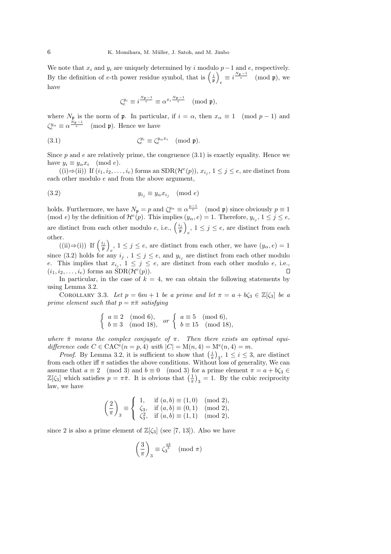We note that  $x_i$  and  $y_i$  are uniquely determined by i modulo  $p-1$  and  $e$ , respectively. By the definition of e-th power residue symbol, that is  $\left(\frac{i}{\mathfrak{p}}\right)$  $e \equiv i^{\frac{N_{\mathfrak{p}}-1}{e}}$  (mod p), we have

$$
\zeta_e^{y_i} \equiv i^{\frac{N_{\mathfrak{p}}-1}{e}} \equiv \alpha^{x_i \frac{N_{\mathfrak{p}}-1}{e}} \pmod{\mathfrak{p}},
$$

where  $N_p$  is the norm of p. In particular, if  $i = \alpha$ , then  $x_\alpha \equiv 1 \pmod{p-1}$  and  $\zeta_e^{y_\alpha} \equiv \alpha^{\frac{\dot{N}_{\mathfrak{p}}-1}{e}}$  (mod  $\mathfrak{p}$ ). Hence we have

(3.1) 
$$
\zeta_e^{y_i} \equiv \zeta_e^{y_\alpha x_i} \pmod{\mathfrak{p}}.
$$

Since  $p$  and  $e$  are relatively prime, the congruence  $(3.1)$  is exactly equality. Hence we have  $y_i \equiv y_\alpha x_i \pmod{e}$ .

 $((i) \Rightarrow (ii))$  If  $(i_1, i_2, \ldots, i_e)$  forms an  $SDR(\mathcal{H}^e(p)), x_{i_j}, 1 \le j \le e$ , are distinct from each other modulo e and from the above argument,

$$
(3.2) \t\t y_{i_j} \equiv y_\alpha x_{i_j} \pmod{e}
$$

holds. Furthermore, we have  $N_{\mathfrak{p}} = p$  and  $\zeta_e^{y_\alpha} \equiv \alpha^{\frac{p-1}{e}}$  (mod  $\mathfrak{p}$ ) since obviously  $p \equiv 1$ (mod e) by the definition of  $\mathcal{H}^e(p)$ . This implies  $(y_\alpha, e) = 1$ . Therefore,  $y_{i_j}$ ,  $1 \leq j \leq e$ , are distinct from each other modulo e, i.e.,  $\left(\frac{i_j}{\mathfrak{p}}\right)$  $e$ ,  $1 \leq j \leq e$ , are distinct from each other.

 $((ii) \Rightarrow (i)) \text{ If } \left(\frac{i_j}{\mathfrak{p}}\right)$  $e, 1 \leq j \leq e$ , are distinct from each other, we have  $(y_{\alpha}, e) = 1$ since (3.2) holds for any  $i_j$ ,  $1 \leq j \leq e$ , and  $y_{i_j}$  are distinct from each other modulo e. This implies that  $x_{i_j}$ ,  $1 \leq j \leq e$ , are distinct from each other modulo e, i.e.,  $(i_1, i_2, \ldots, i_e)$  forms an  $SDR(\mathcal{H}^e(p)).$ 

In particular, in the case of  $k = 4$ , we can obtain the following statements by using Lemma 3.2.

COROLLARY 3.3. Let  $p = 6m + 1$  be a prime and let  $\pi = a + b\zeta_3 \in \mathbb{Z}[\zeta_3]$  be a prime element such that  $p = \pi \bar{\pi}$  satisfying

$$
\begin{cases}\n a \equiv 2 \pmod{6}, \\
b \equiv 3 \pmod{18},\n\end{cases}\n or\n\begin{cases}\n a \equiv 5 \pmod{6}, \\
b \equiv 15 \pmod{18},\n\end{cases}
$$

where  $\bar{\pi}$  means the complex conjugate of  $\pi$ . Then there exists an optimal equidifference code  $C \in \text{CAC}^e(n = p, 4)$  with  $|C| = M(n, 4) = M^e(n, 4) = m$ .

*Proof.* By Lemma 3.2, it is sufficient to show that  $\left(\frac{i}{\pi}\right)_3$ ,  $1 \leq i \leq 3$ , are distinct from each other iff  $\pi$  satisfies the above conditions. Without loss of generality, We can assume that  $a \equiv 2 \pmod{3}$  and  $b \equiv 0 \pmod{3}$  for a prime element  $\pi = a + b\zeta_3 \in$  $\mathbb{Z}[\zeta_3]$  which satisfies  $p = \pi \bar{\pi}$ . It is obvious that  $\left(\frac{1}{\pi}\right)_3 = 1$ . By the cubic reciprocity law, we have

$$
\left(\frac{2}{\pi}\right)_3 \equiv \begin{cases} 1, & \text{if } (a,b) \equiv (1,0) \pmod{2}, \\ \zeta_3, & \text{if } (a,b) \equiv (0,1) \pmod{2}, \\ \zeta_3^2, & \text{if } (a,b) \equiv (1,1) \pmod{2}, \end{cases}
$$

since 2 is also a prime element of  $\mathbb{Z}[\zeta_3]$  (see [7, 13]). Also we have

$$
\left(\frac{3}{\pi}\right)_3 \equiv \zeta_3^{\frac{ab}{3}} \pmod{\pi}
$$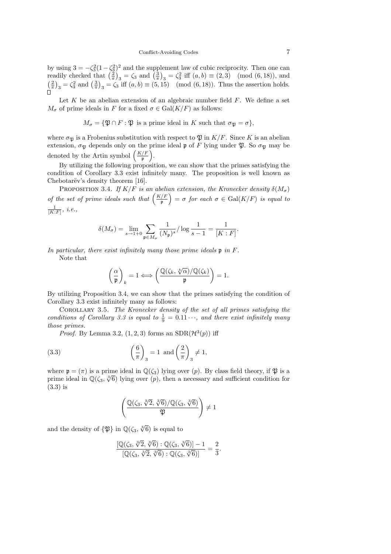by using  $3 = -\zeta_3^2(1-\zeta_3^2)^2$  and the supplement law of cubic reciprocity. Then one can readily checked that  $\left(\frac{2}{\pi}\right)_3 = \zeta_3$  and  $\left(\frac{3}{\pi}\right)_3 = \zeta_3^2$  iff  $(a, b) \equiv (2, 3) \pmod{(6, 18}$ , and  $\left(\frac{2}{\pi}\right)_3 = \zeta_3^2$  and  $\left(\frac{3}{\pi}\right)_3 = \zeta_3$  iff  $(a, b) \equiv (5, 15) \pmod{(6, 18}$ . Thus the assertion holds.

Let  $K$  be an abelian extension of an algebraic number field  $F$ . We define a set  $M_{\sigma}$  of prime ideals in F for a fixed  $\sigma \in \text{Gal}(K/F)$  as follows:

$$
M_{\sigma} = \{ \mathfrak{P} \cap F : \mathfrak{P} \text{ is a prime ideal in } K \text{ such that } \sigma_{\mathfrak{P}} = \sigma \},
$$

where  $\sigma_{\mathfrak{P}}$  is a Frobenius substitution with respect to  $\mathfrak{P}$  in  $K/F$ . Since K is an abelian extension,  $\sigma_{\mathfrak{B}}$  depends only on the prime ideal p of F lying under  $\mathfrak{P}$ . So  $\sigma_{\mathfrak{B}}$  may be denoted by the Artin symbol  $\left(\frac{K/F}{n}\right)$  $\frac{f}{\mathfrak{p}}\bigg).$ 

By utilizing the following proposition, we can show that the primes satisfying the condition of Corollary 3.3 exist infinitely many. The proposition is well known as Chebotarëv's density theorem [16].

PROPOSITION 3.4. If  $K/F$  is an abelian extension, the Kronecker density  $\delta(M_{\sigma})$ of the set of prime ideals such that  $\left(\frac{K/F}{n}\right)$  $\left(\frac{f(F)}{\mathfrak{p}}\right) = \sigma$  for each  $\sigma \in \mathrm{Gal}(K/F)$  is equal to  $\frac{1}{[K:F]}, i.e.,$ 

$$
\delta(M_{\sigma}) = \lim_{s \to 1+0} \sum_{\mathfrak{p} \in M_{\sigma}} \frac{1}{(N_{\mathfrak{p}})^s} / \log \frac{1}{s - 1} = \frac{1}{[K : F]}.
$$

In particular, there exist infinitely many those prime ideals  $\mathfrak p$  in  $F$ .

Note that

$$
\left(\frac{\alpha}{\mathfrak{p}}\right)_k=1\Longleftrightarrow \left(\frac{\mathbb{Q}(\zeta_k,\sqrt[k]{\alpha})/\mathbb{Q}(\zeta_k)}{\mathfrak{p}}\right)=1.
$$

By utilizing Proposition 3.4, we can show that the primes satisfying the condition of Corollary 3.3 exist infinitely many as follows:

Corollary 3.5. The Kronecker density of the set of all primes satisfying the conditions of Corollary 3.3 is equal to  $\frac{1}{9} = 0.11 \cdots$ , and there exist infinitely many those primes.

*Proof.* By Lemma 3.2,  $(1, 2, 3)$  forms an  $SDR(\mathcal{H}^{3}(p))$  iff

(3.3) 
$$
\left(\frac{6}{\pi}\right)_3 = 1
$$
 and  $\left(\frac{2}{\pi}\right)_3 \neq 1$ ,

where  $\mathfrak{p} = (\pi)$  is a prime ideal in  $\mathbb{Q}(\zeta_3)$  lying over (p). By class field theory, if  $\mathfrak{P}$  is a prime ideal in  $\mathbb{Q}(\zeta_3, \sqrt[3]{6})$  lying over  $(p)$ , then a necessary and sufficient condition for (3.3) is

$$
\left(\frac{\mathbb{Q}(\zeta_3,\sqrt[3]{2},\sqrt[3]{6})/\mathbb{Q}(\zeta_3,\sqrt[3]{6})}{\mathfrak{P}}\right)\neq 1
$$

and the density of  $\{\mathfrak{P}\}\$ in  $\mathbb{Q}(\zeta_3, \sqrt[3]{6})$  is equal to

$$
\frac{[\mathbb{Q}(\zeta_3, \sqrt[3]{2}, \sqrt[3]{6}) : \mathbb{Q}(\zeta_3, \sqrt[3]{6})] - 1}{[\mathbb{Q}(\zeta_3, \sqrt[3]{2}, \sqrt[3]{6}) : \mathbb{Q}(\zeta_3, \sqrt[3]{6})]} = \frac{2}{3}.
$$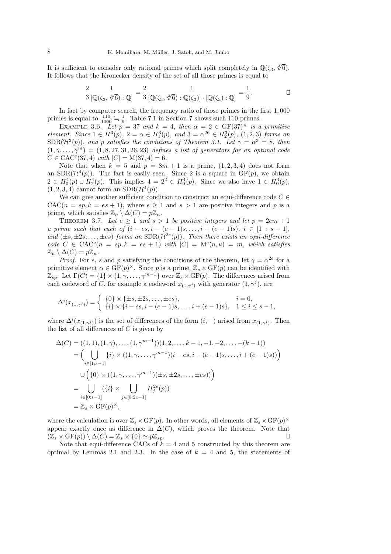It is sufficient to consider only rational primes which split completely in  $\mathbb{Q}(\zeta_3, \sqrt[3]{6})$ . It follows that the Kronecker density of the set of all those primes is equal to

$$
\frac{2}{3} \frac{1}{\left[\mathbb{Q}(\zeta_3, \sqrt[3]{6}) : \mathbb{Q}\right]} = \frac{2}{3} \frac{1}{\left[\mathbb{Q}(\zeta_3, \sqrt[3]{6}) : \mathbb{Q}(\zeta_3)\right] \cdot \left[\mathbb{Q}(\zeta_3) : \mathbb{Q}\right]} = \frac{1}{9}.
$$

In fact by computer search, the frequency ratio of those primes in the first 1, 000 primes is equal to  $\frac{110}{1000} = \frac{1}{9}$ . Table 7.1 in Section 7 shows such 110 primes.

EXAMPLE 3.6. Let  $p = 37$  and  $k = 4$ , then  $\alpha = 2 \in \text{GF}(37)^{\times}$  is a primitive element. Since  $1 \in H^3(p)$ ,  $2 = \alpha \in H_1^3(p)$ , and  $3 = \alpha^{26} \in H_2^3(p)$ ,  $(1, 2, 3)$  forms an  $SDR(\mathcal{H}^{3}(p))$ , and p satisfies the conditions of Theorem 3.1. Let  $\gamma = \alpha^{3} = 8$ , then  $(1, \gamma, \ldots, \gamma^m) = (1, 8, 27, 31, 26, 23)$  defines a list of generators for an optimal code  $C \in \text{CAC}^e(37, 4)$  with  $|C| = M(37, 4) = 6$ .

Note that when  $k = 5$  and  $p = 8m + 1$  is a prime,  $(1, 2, 3, 4)$  does not form an  $SDR(\mathcal{H}^{4}(p))$ . The fact is easily seen. Since 2 is a square in  $GF(p)$ , we obtain  $2 \in H_0^4(p) \cup H_2^4(p)$ . This implies  $4 = 2^2 \in H_0^4(p)$ . Since we also have  $1 \in H_0^4(p)$ ,  $(1, 2, 3, 4)$  cannot form an  $SDR(\mathcal{H}^4(p)).$ 

We can give another sufficient condition to construct an equi-difference code  $C \in$  $CAC(n = sp, k = es + 1)$ , where  $e \ge 1$  and  $s > 1$  are positive integers and p is a prime, which satisfies  $\mathbb{Z}_n \setminus \Delta(C) = p\mathbb{Z}_n$ .

THEOREM 3.7. Let  $e \geq 1$  and  $s > 1$  be positive integers and let  $p = 2em + 1$ a prime such that each of  $(i - es, i - (e - 1)s, \ldots, i + (e - 1)s), i \in [1 : s - 1]$ , and  $(\pm s, \pm 2s, \ldots, \pm es)$  forms an SDR( $\mathcal{H}^{2e}(p)$ ). Then there exists an equi-difference  $code C \in CAC^{e}(n = sp, k = es + 1)$  with  $|C| = M^{e}(n, k) = m$ , which satisfies  $\mathbb{Z}_n \setminus \Delta(C) = p\mathbb{Z}_n$ .

*Proof.* For e, s and p satisfying the conditions of the theorem, let  $\gamma = \alpha^{2e}$  for a primitive element  $\alpha \in \mathrm{GF}(p)^{\times}$ . Since p is a prime,  $\mathbb{Z}_s \times \mathrm{GF}(p)$  can be identified with  $\mathbb{Z}_{sp}$ . Let  $\Gamma(C) = \{1\} \times \{1, \gamma, \ldots, \gamma^{m-1}\}$  over  $\mathbb{Z}_{s} \times \text{GF}(p)$ . The differences arised from each codeword of C, for example a codeword  $x_{(1,\gamma^j)}$  with generator  $(1,\gamma^j)$ , are

$$
\Delta^{i}(x_{(1,\gamma^{j})}) = \begin{cases} \{0\} \times \{\pm s, \pm 2s, \dots, \pm es\}, & i = 0, \\ \{i\} \times \{i - es, i - (e - 1)s, \dots, i + (e - 1)s\}, & 1 \leq i \leq s - 1, \end{cases}
$$

where  $\Delta^{i}(x_{(1,\gamma^{j})})$  is the set of differences of the form  $(i, -)$  arised from  $x_{(1,\gamma^{j})}$ . Then the list of all differences of  $C$  is given by

$$
\Delta(C) = ((1, 1), (1, \gamma), \dots, (1, \gamma^{m-1}))(1, 2, \dots, k-1, -1, -2, \dots, -(k-1))
$$
  
\n
$$
= \Big( \bigcup_{i \in [1:s-1]} \{i\} \times ((1, \gamma, \dots, \gamma^{m-1})(i-es, i-(e-1)s, \dots, i+(e-1)s)) \Big)
$$
  
\n
$$
\cup \Big( \{0\} \times ((1, \gamma, \dots, \gamma^{m-1})(\pm s, \pm 2s, \dots, \pm es)) \Big)
$$
  
\n
$$
= \bigcup_{i \in [0:s-1]} (\{i\} \times \bigcup_{j \in [0:2e-1]} H_j^{2e}(p))
$$
  
\n
$$
= \mathbb{Z}_s \times \text{GF}(p)^{\times},
$$

where the calculation is over  $\mathbb{Z}_s \times \mathrm{GF}(p)$ . In other words, all elements of  $\mathbb{Z}_s \times \mathrm{GF}(p)^\times$ appear exactly once as difference in  $\Delta(C)$ , which proves the theorem. Note that  $(\mathbb{Z}_s \times \mathrm{GF}(p)) \setminus \Delta(C) = \mathbb{Z}_s \times \{0\} \simeq p\mathbb{Z}_{sp}.$  $\Box$ 

Note that equi-difference CACs of  $k = 4$  and 5 constructed by this theorem are optimal by Lemmas 2.1 and 2.3. In the case of  $k = 4$  and 5, the statements of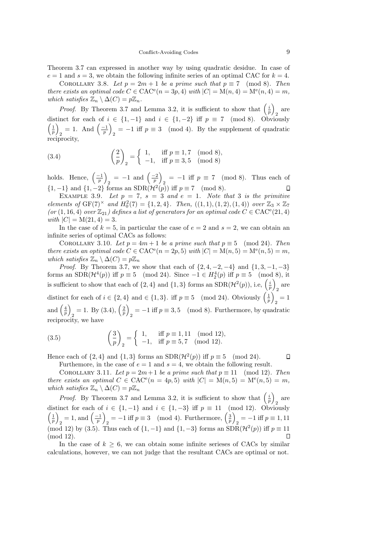Theorem 3.7 can expressed in another way by using quadratic desidue. In case of  $e = 1$  and  $s = 3$ , we obtain the following infinite series of an optimal CAC for  $k = 4$ .

COROLLARY 3.8. Let  $p = 2m + 1$  be a prime such that  $p \equiv 7 \pmod{8}$ . Then there exists an optimal code  $C \in \text{CAC}^e(n=3p,4)$  with  $|C| = M(n,4) = M^e(n,4) = m$ , which satisfies  $\mathbb{Z}_n \setminus \Delta(C) = p\mathbb{Z}_n$ .

*Proof.* By Theorem 3.7 and Lemma 3.2, it is sufficient to show that  $\left(\frac{i}{p}\right)_2$  are distinct for each of  $i \in \{1, -1\}$  and  $i \in \{1, -2\}$  iff  $p \equiv 7 \pmod{8}$ . Obviously  $\left(\frac{1}{p}\right)$  $_2 = 1. \text{ And } \left(\frac{-1}{p}\right)$  $_2 = -1$  iff  $p \equiv 3 \pmod{4}$ . By the supplement of quadratic reciprocity,

(3.4) 
$$
\left(\frac{2}{p}\right)_2 = \begin{cases} 1, & \text{iff } p \equiv 1,7 \pmod{8}, \\ -1, & \text{iff } p \equiv 3,5 \pmod{8} \end{cases}
$$

holds. Hence,  $\left(\frac{-1}{p}\right)$  $_2 = -1$  and  $\left(\frac{-2}{p}\right)$  $_2 = -1$  iff  $p \equiv 7 \pmod{8}$ . Thus each of {1, −1} and {1, −2} forms an SDR( $H^2(p)$ ) iff  $p \equiv 7 \pmod{8}$ .

EXAMPLE 3.9. Let  $p = 7$ ,  $s = 3$  and  $e = 1$ . Note that 3 is the primitive elements of  $GF(7)^{\times}$  and  $H_0^2(7) = \{1, 2, 4\}$ . Then,  $((1, 1), (1, 2), (1, 4))$  over  $\mathbb{Z}_3 \times \mathbb{Z}_7$  $(or (1, 16, 4) over  $\mathbb{Z}_{21}$ ) defines a list of generators for an optimal code  $C \in \text{CAC}^e(21, 4)$$ with  $|C| = M(21, 4) = 3$ .

In the case of  $k = 5$ , in particular the case of  $e = 2$  and  $s = 2$ , we can obtain an infinite series of optimal CACs as follows:

COROLLARY 3.10. Let  $p = 4m + 1$  be a prime such that  $p \equiv 5 \pmod{24}$ . Then there exists an optimal code  $C \in \text{CAC}^e(n = 2p, 5)$  with  $|C| = M(n, 5) = M^e(n, 5) = m$ , which satisfies  $\mathbb{Z}_n \setminus \Delta(C) = p\mathbb{Z}_n$ 

*Proof.* By Theorem 3.7, we show that each of  $\{2, 4, -2, -4\}$  and  $\{1, 3, -1, -3\}$ forms an SDR( $\mathcal{H}^4(p)$ ) iff  $p \equiv 5 \pmod{24}$ . Since  $-1 \in H_2^4(p)$  iff  $p \equiv 5 \pmod{8}$ , it is sufficient to show that each of  $\{2,4\}$  and  $\{1,3\}$  forms an  $SDR(\mathcal{H}^2(p))$ , i.e,  $\left(\frac{i}{p}\right)$ 2 are distinct for each of  $i \in \{2, 4\}$  and  $\in \{1, 3\}$ . iff  $p \equiv 5 \pmod{24}$ . Obviously  $\left(\frac{1}{p}\right)$  $\frac{1}{2}$ and  $\left(\frac{4}{p}\right)$  $_2 = 1. \text{ By (3.4)}, \left(\frac{2}{p}\right)$  $\frac{1}{2} = -1$  iff  $p \equiv 3, 5 \pmod{8}$ . Furthermore, by quadratic reciprocity, we have

(3.5) 
$$
\left(\frac{3}{p}\right)_2 = \begin{cases} 1, & \text{iff } p \equiv 1, 11 \pmod{12}, \\ -1, & \text{iff } p \equiv 5, 7 \pmod{12}. \end{cases}
$$

Hence each of  $\{2, 4\}$  and  $\{1, 3\}$  forms an  $SDR(\mathcal{H}^2(p))$  iff  $p \equiv 5 \pmod{24}$ .

 $\Box$ 

Furthemore, in the case of  $e = 1$  and  $s = 4$ , we obtain the following result. COROLLARY 3.11. Let  $p = 2m+1$  be a prime such that  $p \equiv 11 \pmod{12}$ . Then there exists an optimal  $C \in \text{CAC}^e(n = 4p, 5)$  with  $|C| = M(n, 5) = M^e(n, 5) = m$ , which satisfies  $\mathbb{Z}_n \setminus \Delta(C) = p\mathbb{Z}_n$ 

*Proof.* By Theorem 3.7 and Lemma 3.2, it is sufficient to show that  $\left(\frac{i}{p}\right)$  are distinct for each of  $i \in \{1, -1\}$  and  $i \in \{1, -3\}$  iff  $p \equiv 11 \pmod{12}$ . Obviously  $\left(\frac{1}{p}\right)$  $_2 = 1$ , and  $\left(\frac{-1}{p}\right)$  $\sum_{2} = -1$  iff  $p \equiv 3 \pmod{4}$ . Furthermore,  $\left(\frac{3}{p}\right)$  $_2 = -1$  iff  $p \equiv 1, 11$ (mod 12) by (3.5). Thus each of  $\{1, -1\}$  and  $\{1, -3\}$  forms an  $SDR(\mathcal{H}^2(p))$  iff  $p \equiv 11$ (mod 12).

In the case of  $k \geq 6$ , we can obtain some infinite serieses of CACs by similar calculations, however, we can not judge that the resultant CACs are optimal or not.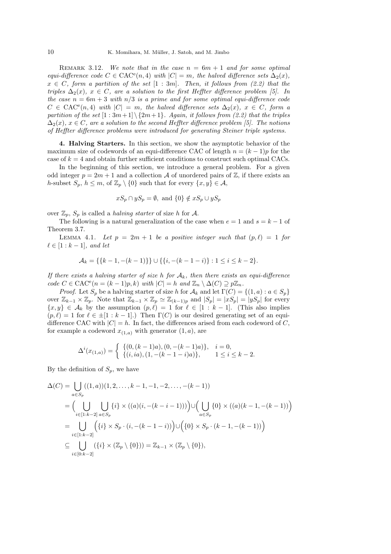REMARK 3.12. We note that in the case  $n = 6m + 1$  and for some optimal equi-difference code  $C \in \text{CAC}^e(n, 4)$  with  $|C| = m$ , the halved difference sets  $\Delta_2(x)$ ,  $x \in C$ , form a partition of the set  $[1:3m]$ . Then, it follows from (2.2) that the triples  $\Delta_2(x)$ ,  $x \in C$ , are a solution to the first Heffter difference problem [5]. In the case  $n = 6m + 3$  with  $n/3$  is a prime and for some optimal equi-difference code  $C \in \text{CAC}^e(n, 4)$  with  $|C| = m$ , the halved difference sets  $\Delta_2(x)$ ,  $x \in C$ , form a partition of the set  $[1:3m+1] \setminus \{2m+1\}$ . Again, it follows from (2.2) that the triples  $\Delta_2(x)$ ,  $x \in C$ , are a solution to the second Heffter difference problem [5]. The notions of Heffter difference problems were introduced for generating Steiner triple systems.

4. Halving Starters. In this section, we show the asymptotic behavior of the maximum size of codewords of an equi-difference CAC of length  $n = (k-1)p$  for the case of  $k = 4$  and obtain further sufficient conditions to construct such optimal CACs.

In the beginning of this section, we introduce a general problem. For a given odd integer  $p = 2m + 1$  and a collection A of unordered pairs of  $\mathbb{Z}$ , if there exists an h-subset  $S_p$ ,  $h \leq m$ , of  $\mathbb{Z}_p \setminus \{0\}$  such that for every  $\{x, y\} \in \mathcal{A}$ ,

$$
xS_p \cap yS_p = \emptyset, \text{ and } \{0\} \notin xS_p \cup yS_p
$$

over  $\mathbb{Z}_p$ ,  $S_p$  is called a *halving starter* of size h for A.

The following is a natural generalization of the case when  $e = 1$  and  $s = k - 1$  of Theorem 3.7.

LEMMA 4.1. Let  $p = 2m + 1$  be a positive integer such that  $(p, \ell) = 1$  for  $\ell \in [1:k-1]$ , and let

$$
\mathcal{A}_k = \{ \{k-1, -(k-1)\} \} \cup \{ \{i, -(k-1-i)\} : 1 \le i \le k-2 \}.
$$

If there exists a halving starter of size h for  $A_k$ , then there exists an equi-difference  $code C \in \text{CAC}^e(n = (k-1)p, k) \text{ with } |C| = h \text{ and } \mathbb{Z}_n \setminus \Delta(C) \supseteq p\mathbb{Z}_n.$ 

*Proof.* Let  $S_p$  be a halving starter of size h for  $\mathcal{A}_k$  and let  $\Gamma(C) = \{(1, a) : a \in S_p\}$ over  $\mathbb{Z}_{k-1} \times \mathbb{Z}_p$ . Note that  $\mathbb{Z}_{k-1} \times \mathbb{Z}_p \simeq \mathbb{Z}_{(k-1)p}$  and  $|S_p| = |xS_p| = |yS_p|$  for every  $\{x, y\} \in \mathcal{A}_k$  by the assumption  $(p, \ell) = 1$  for  $\ell \in [1 : k - 1]$ . (This also implies  $(p, \ell) = 1$  for  $\ell \in \pm [1 : k - 1]$ .) Then  $\Gamma(C)$  is our desired generating set of an equidifference CAC with  $|C| = h$ . In fact, the differences arised from each codeword of C, for example a codeword  $x_{(1,a)}$  with generator  $(1, a)$ , are

$$
\Delta^{i}(x_{(1,a)}) = \begin{cases} \{(0, (k-1)a), (0, -(k-1)a)\}, & i = 0, \\ \{(i, ia), (1, -(k-1-i)a)\}, & 1 \le i \le k-2. \end{cases}
$$

By the definition of  $S_p$ , we have

$$
\Delta(C) = \bigcup_{a \in S_p} ((1, a))(1, 2, \dots, k - 1, -1, -2, \dots, -(k - 1))
$$
  
= 
$$
\Big(\bigcup_{i \in [1:k-2]} \bigcup_{a \in S_p} \{i\} \times ((a)(i, -(k - i - 1)))\Big) \cup \Big(\bigcup_{a \in S_p} \{0\} \times ((a)(k - 1, -(k - 1))\Big)
$$
  
= 
$$
\bigcup_{i \in [1:k-2]} (\{i\} \times S_p \cdot (i, -(k - 1 - i))\Big) \cup (\{0\} \times S_p \cdot (k - 1, -(k - 1))\Big)
$$
  

$$
\subseteq \bigcup_{i \in [0:k-2]} (\{i\} \times (\mathbb{Z}_p \setminus \{0\})) = \mathbb{Z}_{k-1} \times (\mathbb{Z}_p \setminus \{0\}),
$$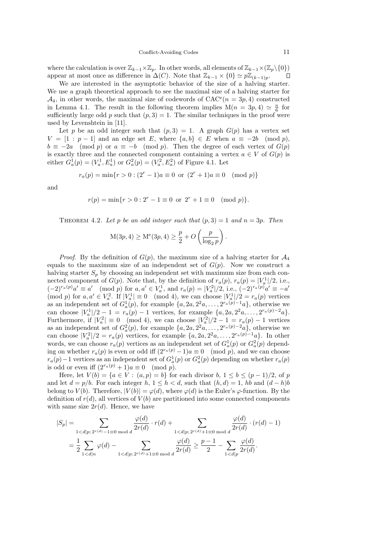where the calculation is over  $\mathbb{Z}_{k-1} \times \mathbb{Z}_p$ . In other words, all elements of  $\mathbb{Z}_{k-1} \times (\mathbb{Z}_p \setminus \{0\})$ <br>appear at most once as difference in  $\Delta(C)$ . Note that  $\mathbb{Z}_{k-1} \times \{0\} \simeq p\mathbb{Z}_{(k-1)p}$ . appear at most once as difference in  $\Delta(C)$ . Note that  $\mathbb{Z}_{k-1} \times \{0\} \simeq p\mathbb{Z}_{(k-1)p}$ .

We are interested in the asymptotic behavior of the size of a halving starter. We use a graph theoretical approach to see the maximal size of a halving starter for  $\mathcal{A}_4$ , in other words, the maximal size of codewords of  $CAC^e(n = 3p, 4)$  constructed in Lemma 4.1. The result in the following theorem implies  $M(n = 3p, 4) \simeq \frac{n}{6}$  for sufficiently large odd p such that  $(p, 3) = 1$ . The similar techniques in the proof were used by Levenshtein in [11].

Let p be an odd integer such that  $(p, 3) = 1$ . A graph  $G(p)$  has a vertex set  $V = [1:p-1]$  and an edge set E, where  $\{a,b\} \in E$  when  $a \equiv -2b \pmod{p}$ ,  $b \equiv -2a \pmod{p}$  or  $a \equiv -b \pmod{p}$ . Then the degree of each vertex of  $G(p)$ is exactly three and the connected component containing a vertex  $a \in V$  of  $G(p)$  is either  $G_a^1(p) = (V_a^1, E_a^1)$  or  $G_a^2(p) = (V_a^2, E_a^2)$  of Figure 4.1. Let

$$
r_a(p) = \min\{r > 0 : (2^r - 1)a \equiv 0 \text{ or } (2^r + 1)a \equiv 0 \pmod{p}\}
$$

and

$$
r(p) = \min\{r > 0 : 2^r - 1 \equiv 0 \text{ or } 2^r + 1 \equiv 0 \pmod{p}\}.
$$

THEOREM 4.2. Let p be an odd integer such that  $(p, 3) = 1$  and  $n = 3p$ . Then

$$
M(3p, 4) \ge M^e(3p, 4) \ge \frac{p}{2} + O\left(\frac{p}{\log_2 p}\right).
$$

*Proof.* By the definition of  $G(p)$ , the maximum size of a halving starter for  $\mathcal{A}_4$ equals to the maximum size of an independent set of  $G(p)$ . Now we construct a halving starter  $S_p$  by choosing an independent set with maximum size from each connected component of  $G(p)$ . Note that, by the definition of  $r_a(p)$ ,  $r_a(p) = |V_a^1|/2$ , i.e.,  $(-2)^{r_a(p)}a' \equiv a' \pmod{p}$  for  $a, a' \in V_a^1$ , and  $r_a(p) = |V_a^2|/2$ , i.e.,  $(-2)^{r_a(p)}a' \equiv -a'$  $p \text{ for } a, a' \in V_a^2$ . If  $|V_a^1| \equiv 0 \pmod{4}$ , we can choose  $|V_a^1|/2 = r_a(p)$  vertices as an independent set of  $G_a^1(p)$ , for example  $\{a, 2a, 2^2a, \ldots, 2^{r_a(p)-1}a\}$ , otherwise we can choose  $|V_a^1|/2 - 1 = r_a(p) - 1$  vertices, for example  $\{a, 2a, 2^2a, ..., 2^{r_a(p)-2}a\}.$ Furthermore, if  $|V_a^2| \equiv 0 \pmod{4}$ , we can choose  $|V_a^2|/2 - 1 = r_a(p) - 1$  vertices as an independent set of  $G_a^2(p)$ , for example  $\{a, 2a, 2^2a, \ldots, 2^{r_a(p)-2}a\}$ , otherwise we as an independent set of  $G_a(p)$ , for example  $\{a, 2a, 2^a, \ldots, 2^{r_a(p)-1}a\}$ . In other<br>can choose  $|V_a^2|/2 = r_a(p)$  vertices, for example  $\{a, 2a, 2^2a, \ldots, 2^{r_a(p)-1}a\}$ . In other words, we can choose  $r_a(p)$  vertices as an independent set of  $G_a^1(p)$  or  $G_a^2(p)$  depending on whether  $r_a(p)$  is even or odd iff  $(2^{r_a(p)} - 1)a \equiv 0 \pmod{p}$ , and we can choose  $r_a(p)-1$  vertices as an independent set of  $G_a^1(p)$  or  $G_a^2(p)$  depending on whether  $r_a(p)$ is odd or even iff  $(2^{r_a(p)} + 1)a \equiv 0 \pmod{p}$ .

Here, let  $V(b) = \{a \in V : (a, p) = b\}$  for each divisor  $b, 1 \le b \le (p-1)/2$ , of p and let  $d = p/b$ . For each integer  $h, 1 \leq h < d$ , such that  $(h, d) = 1$ ,  $hb$  and  $(d - h)b$ belong to  $V(b)$ . Therefore,  $|V(b)| = \varphi(d)$ , where  $\varphi(d)$  is the Euler's  $\varphi$ -function. By the definition of  $r(d)$ , all vertices of  $V(b)$  are partitioned into some connected components with same size  $2r(d)$ . Hence, we have

$$
|S_p| = \sum_{1 < d|p; 2^{r(d)} - 1 \equiv 0 \bmod d} \frac{\varphi(d)}{2r(d)} \cdot r(d) + \sum_{1 < d|p; 2^{r(d)} + 1 \equiv 0 \bmod d} \frac{\varphi(d)}{2r(d)} \cdot (r(d) - 1)
$$
\n
$$
= \frac{1}{2} \sum_{1 < d|n} \varphi(d) - \sum_{1 < d|p; 2^{r(d)} + 1 \equiv 0 \bmod d} \frac{\varphi(d)}{2r(d)} \ge \frac{p-1}{2} - \sum_{1 < d|p} \frac{\varphi(d)}{2r(d)}.
$$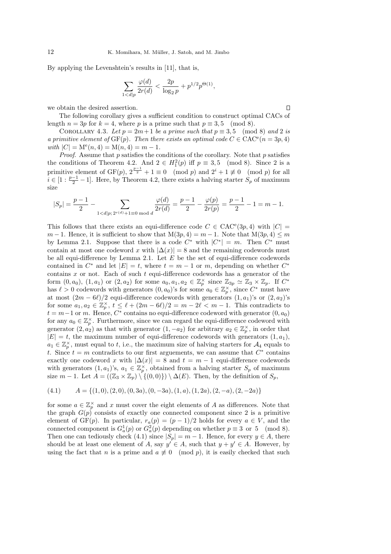By applying the Levenshtein's results in [11], that is,

$$
\sum_{1 < d|p} \frac{\varphi(d)}{2r(d)} < \frac{2p}{\log_2 p} + p^{1/2} p^{\Theta(1)},
$$

we obtain the desired assertion.

The following corollary gives a sufficient condition to construct optimal CACs of length  $n = 3p$  for  $k = 4$ , where p is a prime such that  $p \equiv 3, 5 \pmod{8}$ .

COROLLARY 4.3. Let  $p = 2m+1$  be a prime such that  $p \equiv 3, 5 \pmod{8}$  and 2 is a primitive element of  $GF(p)$ . Then there exists an optimal code  $C \in CAC^e(n=3p, 4)$ with  $|C| = M^e(n, 4) = M(n, 4) = m - 1.$ 

*Proof.* Assume that  $p$  satisfies the conditions of the corollary. Note that  $p$  satisfies the conditions of Theorem 4.2. And  $2 \in H_1^2(p)$  iff  $p \equiv 3, 5 \pmod{8}$ . Since 2 is a primitive element of GF(p),  $2^{\frac{p-1}{2}} + 1 \equiv 0 \pmod{p}$  and  $2^i + 1 \not\equiv 0 \pmod{p}$  for all  $i \in [1 : \frac{p-1}{2} - 1]$ . Here, by Theorem 4.2, there exists a halving starter  $S_p$  of maximum size

$$
|S_p|=\frac{p-1}{2}-\sum_{1
$$

This follows that there exists an equi-difference code  $C \in \text{CAC}^e(3p, 4)$  with  $|C| =$  $m-1$ . Hence, it is sufficient to show that  $M(3p, 4) = m - 1$ . Note that  $M(3p, 4) \leq m$ by Lemma 2.1. Suppose that there is a code  $C^*$  with  $|C^*| = m$ . Then  $C^*$  must contain at most one codeword x with  $|\Delta(x)| = 8$  and the remaining codewords must be all equi-difference by Lemma 2.1. Let  $E$  be the set of equi-difference codewords contained in  $C^*$  and let  $|E| = t$ , where  $t = m - 1$  or m, depending on whether  $C^*$ contains  $x$  or not. Each of such  $t$  equi-difference codewords has a generator of the form  $(0, a_0)$ ,  $(1, a_1)$  or  $(2, a_2)$  for some  $a_0, a_1, a_2 \in \mathbb{Z}_p^{\times}$  since  $\mathbb{Z}_{3p} \simeq \mathbb{Z}_3 \times \mathbb{Z}_p$ . If  $C^*$ has  $\ell > 0$  codewords with generators  $(0, a_0)$ 's for some  $a_0 \in \mathbb{Z}_p^{\times}$ , since  $C^*$  must have at most  $(2m - 6\ell)/2$  equi-difference codewords with generators  $(1, a_1)$ 's or  $(2, a_2)$ 's for some  $a_1, a_2 \in \mathbb{Z}_p^{\times}$ ,  $t \leq \ell + (2m - 6\ell)/2 = m - 2\ell < m - 1$ . This contradicts to  $t = m-1$  or m. Hence,  $C^*$  contains no equi-difference codeword with generator  $(0, a_0)$ for any  $a_0 \in \mathbb{Z}_p^{\times}$ . Furthermore, since we can regard the equi-difference codeword with generator  $(2, a_2)$  as that with generator  $(1, -a_2)$  for arbitrary  $a_2 \in \mathbb{Z}_p^{\times}$ , in order that  $|E| = t$ , the maximum number of equi-difference codewords with generators  $(1, a_1)$ ,  $a_1 \in \mathbb{Z}_p^{\times}$ , must equal to t, i.e., the maximum size of halving starters for  $\mathcal{A}_4$  equals to t. Since  $t = m$  contradicts to our first arguements, we can assume that  $C^*$  contains exactly one codeword x with  $|\Delta(x)| = 8$  and  $t = m - 1$  equi-difference codewords with generators  $(1, a_1)$ 's,  $a_1 \in \mathbb{Z}_p^\times$ , obtained from a halving starter  $S_p$  of maximum size  $m-1$ . Let  $A = ((\mathbb{Z}_3 \times \mathbb{Z}_p) \setminus \{(0,0)\}) \setminus \Delta(E)$ . Then, by the definition of  $S_p$ ,

$$
(4.1) \qquad A = \{(1,0), (2,0), (0,3a), (0,-3a), (1,a), (1,2a), (2,-a), (2,-2a)\}
$$

for some  $a \in \mathbb{Z}_p^{\times}$  and x must cover the eight elements of A as differences. Note that the graph  $G(p)$  consists of exactly one connected component since 2 is a primitive element of GF(p). In particular,  $r_a(p) = (p-1)/2$  holds for every  $a \in V$ , and the connected component is  $G_a^1(p)$  or  $G_a^2(p)$  depending on whether  $p \equiv 3$  or 5 (mod 8). Then one can tediously check (4.1) since  $|S_p| = m - 1$ . Hence, for every  $y \in A$ , there should be at least one element of A, say  $y' \in A$ , such that  $y + y' \in A$ . However, by using the fact that n is a prime and  $a \neq 0 \pmod{p}$ , it is easily checked that such

 $\Box$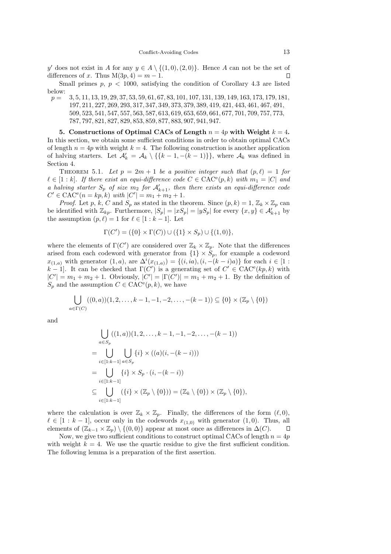y' does not exist in A for any  $y \in A \setminus \{(1,0), (2,0)\}.$  Hence A can not be the set of differences of x. Thus  $M(3p, 4) = m - 1$ .

Small primes  $p, p < 1000$ , satisfying the condition of Corollary 4.3 are listed

below:<br> $p =$ p = 3, 5, 11, 13, 19, 29, 37, 53, 59, 61, 67, 83, 101, 107, 131, 139, 149, 163, 173, 179, 181, 197, 211, 227, 269, 293, 317, 347, 349, 373, 379, 389, 419, 421, 443, 461, 467, 491, 509, 523, 541, 547, 557, 563, 587, 613, 619, 653, 659, 661, 677, 701, 709, 757, 773, 787, 797, 821, 827, 829, 853, 859, 877, 883, 907, 941, 947.

5. Constructions of Optimal CACs of Length  $n = 4p$  with Weight  $k = 4$ . In this section, we obtain some sufficient conditions in order to obtain optimal CACs of length  $n = 4p$  with weight  $k = 4$ . The following construction is another application of halving starters. Let  $\mathcal{A}'_k = \mathcal{A}_k \setminus \{\{k-1, -(k-1)\}\}\$ , where  $\mathcal{A}_k$  was defined in Section 4.

THEOREM 5.1. Let  $p = 2m + 1$  be a positive integer such that  $(p, \ell) = 1$  for  $\ell \in [1:k]$ . If there exist an equi-difference code  $C \in \text{CAC}^e(p,k)$  with  $m_1 = |C|$  and a halving starter  $S_p$  of size  $m_2$  for  $\mathcal{A}'_{k+1}$ , then there exists an equi-difference code  $C' \in \text{CAC}^e(n = kp, k) \text{ with } |C'| = m_1 + m_2 + 1.$ 

*Proof.* Let p, k, C and  $S_p$  as stated in the theorem. Since  $(p, k) = 1$ ,  $\mathbb{Z}_k \times \mathbb{Z}_p$  can be identified with  $\mathbb{Z}_{kp}$ . Furthermore,  $|S_p| = |xS_p| = |yS_p|$  for every  $\{x, y\} \in \mathcal{A}'_{k+1}$  by the assumption  $(p, \ell) = 1$  for  $\ell \in [1 : k - 1]$ . Let

$$
\Gamma(C') = (\{0\} \times \Gamma(C)) \cup (\{1\} \times S_p) \cup \{(1,0)\},\
$$

where the elements of  $\Gamma(C')$  are considered over  $\mathbb{Z}_k \times \mathbb{Z}_p$ . Note that the differences arised from each codeword with generator from  $\{1\} \times S_p$ , for example a codeword  $x_{(1,a)}$  with generator  $(1,a)$ , are  $\Delta^{i}(x_{(1,a)}) = \{(i, ia), (i, -(k-i)a)\}\)$  for each  $i \in [1 :$  $k-1$ . It can be checked that  $\Gamma(C')$  is a generating set of  $C' \in \text{CAC}^e(kp, k)$  with  $|C'| = m_1 + m_2 + 1$ . Obviously,  $|C'| = |\Gamma(C')| = m_1 + m_2 + 1$ . By the definition of  $S_p$  and the assumption  $C \in \text{CAC}^e(p, k)$ , we have

$$
\bigcup_{a \in \Gamma(C)} ((0, a))(1, 2, \dots, k-1, -1, -2, \dots, -(k-1)) \subseteq \{0\} \times (\mathbb{Z}_p \setminus \{0\})
$$

and

$$
\bigcup_{a \in S_p} ((1, a))(1, 2, \dots, k-1, -1, -2, \dots, -(k-1))
$$
\n
$$
= \bigcup_{i \in [1:k-1]} \bigcup_{a \in S_p} \{i\} \times ((a)(i, -(k-i)))
$$
\n
$$
= \bigcup_{i \in [1:k-1]} \{i\} \times S_p \cdot (i, -(k-i))
$$
\n
$$
\subseteq \bigcup_{i \in [1:k-1]} (\{i\} \times (\mathbb{Z}_p \setminus \{0\})) = (\mathbb{Z}_k \setminus \{0\}) \times (\mathbb{Z}_p \setminus \{0\}),
$$

where the calculation is over  $\mathbb{Z}_k \times \mathbb{Z}_p$ . Finally, the differences of the form  $(\ell, 0)$ ,  $\ell \in [1 : k - 1]$ , occur only in the codewords  $x_{(1,0)}$  with generator  $(1,0)$ . Thus, all elements of  $(\mathbb{Z}_{k-1} \times \mathbb{Z}_n) \setminus \{(0,0)\}\$ appear at most once as differences in  $\Delta(C)$ .  $\Box$ elements of  $(\mathbb{Z}_{k-1} \times \mathbb{Z}_p) \setminus \{(0,0)\}\$ appear at most once as differences in  $\Delta(C)$ .

Now, we give two sufficient conditions to construct optimal CACs of length  $n = 4p$ with weight  $k = 4$ . We use the quartic residue to give the first sufficient condition. The following lemma is a preparation of the first assertion.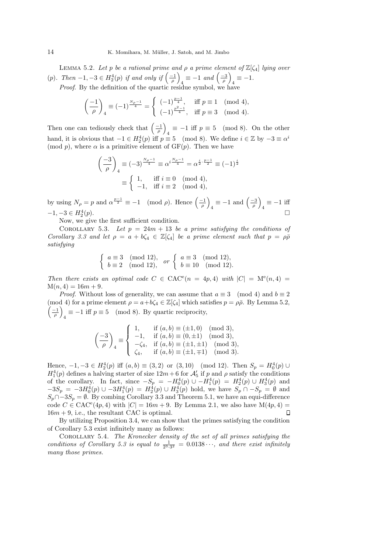LEMMA 5.2. Let p be a rational prime and  $\rho$  a prime element of  $\mathbb{Z}[\zeta_4]$  lying over (p). Then  $-1, -3 \in H_2^4(p)$  if and only if  $\left(\frac{-1}{\rho}\right)$  $\frac{1}{4} \equiv -1$  and  $\left(\frac{-3}{\rho}\right)$  $\equiv -1.$ Proof. By the definition of the quartic residue symbol, we have

$$
\left(\frac{-1}{\rho}\right)_4 \equiv (-1)^{\frac{N\rho-1}{4}} = \begin{cases} (-1)^{\frac{p-1}{4}}, & \text{iff } p \equiv 1 \pmod{4}, \\ (-1)^{\frac{p^2-1}{4}}, & \text{iff } p \equiv 3 \pmod{4}. \end{cases}
$$

Then one can tediously check that  $\left(\frac{-1}{\rho}\right)$  $\frac{1}{4} \equiv -1$  iff  $p \equiv 5 \pmod{8}$ . On the other hand, it is obvious that  $-1 \in H_2^4(p)$  iff  $p \equiv 5 \pmod{8}$ . We define  $i \in \mathbb{Z}$  by  $-3 \equiv \alpha^i$ (mod p), where  $\alpha$  is a primitive element of GF(p). Then we have

$$
\left(\frac{-3}{\rho}\right)_4 \equiv (-3)^{\frac{N_{\rho}-1}{4}} \equiv \alpha^{i\frac{N_{\rho}-1}{4}} = \alpha^{\frac{i}{2} \cdot \frac{p-1}{2}} \equiv (-1)^{\frac{i}{2}}
$$

$$
\equiv \begin{cases} 1, & \text{iff } i \equiv 0 \pmod{4}, \\ -1, & \text{iff } i \equiv 2 \pmod{4}, \end{cases}
$$

by using  $N_{\rho} = p$  and  $\alpha^{\frac{p-1}{2}} \equiv -1 \pmod{\rho}$ . Hence  $\left(\frac{-1}{\rho}\right)$  $\frac{1}{4} \equiv -1$  and  $\left(\frac{-3}{\rho}\right)$  $\frac{1}{4} \equiv -1$  iff  $-1, -3 \in H_2^4$  $(p).$ 

Now, we give the first sufficient condition.

COROLLARY 5.3. Let  $p = 24m + 13$  be a prime satisfying the conditions of Corollary 3.3 and let  $\rho = a + b\zeta_4 \in \mathbb{Z}[\zeta_4]$  be a prime element such that  $p = \rho \bar{\rho}$ satisfying

$$
\begin{cases}\n a \equiv 3 \pmod{12}, \\
b \equiv 2 \pmod{12},\n\end{cases}\n\quad \text{or} \n\begin{cases}\n a \equiv 3 \pmod{12}, \\
b \equiv 10 \pmod{12}.\n\end{cases}
$$

Then there exists an optimal code  $C \in \text{CAC}^e(n = 4p, 4)$  with  $|C| = \text{M}^e(n, 4) =$  $M(n, 4) = 16m + 9.$ 

*Proof.* Without loss of generality, we can assume that  $a \equiv 3 \pmod{4}$  and  $b \equiv 2$ (mod 4) for a prime element  $\rho = a + b\zeta_4 \in \mathbb{Z}[\zeta_4]$  which satisfies  $p = \rho\bar{\rho}$ . By Lemma 5.2,  $\left(\frac{-1}{\rho}\right)$  $\frac{4}{4}$  ≡ −1 iff  $p \equiv 5 \pmod{8}$ . By quartic reciprocity,

$$
\left(\frac{-3}{\rho}\right)_4 \equiv \begin{cases} 1, & \text{if } (a,b) \equiv (\pm 1,0) \pmod{3}, \\ -1, & \text{if } (a,b) \equiv (0,\pm 1) \pmod{3}, \\ -\zeta_4, & \text{if } (a,b) \equiv (\pm 1,\pm 1) \pmod{3}, \\ \zeta_4, & \text{if } (a,b) \equiv (\pm 1,\mp 1) \pmod{3}. \end{cases}
$$

Hence,  $-1, -3 \in H_2^4(p)$  iff  $(a, b) \equiv (3, 2)$  or  $(3, 10)$  (mod 12). Then  $S_p = H_0^4(p) \cup$  $H_1^4(p)$  defines a halving starter of size  $12m+6$  for  $\mathcal{A}'_5$  if p and p satisfy the conditions of the corollary. In fact, since  $-S_p = -H_0^4(p) \cup -H_1^4(p) = H_2^4(p) \cup H_3^4(p)$  and  $-3S_p = -3H_0^4(p) \cup -3H_1^4(p) = H_2^4(p) \cup H_3^4(p)$  hold, we have  $S_p \cap -S_p = \emptyset$  and  $S_p \cap -3S_p = \emptyset$ . By combing Corollary 3.3 and Theorem 5.1, we have an equi-difference code  $C \in \text{CAC}^e(4p, 4)$  with  $|C| = 16m + 9$ . By Lemma 2.1, we also have  $M(4p, 4) =$  $16m + 9$ , i.e., the resultant CAC is optimal.

By utilizing Proposition 3.4, we can show that the primes satisfying the condition of Corollary 5.3 exist infinitely many as follows:

Corollary 5.4. The Kronecker density of the set of all primes satisfying the conditions of Corollary 5.3 is equal to  $\frac{1}{2^3 \cdot 3^2} = 0.0138 \cdots$ , and there exist infinitely many those primes.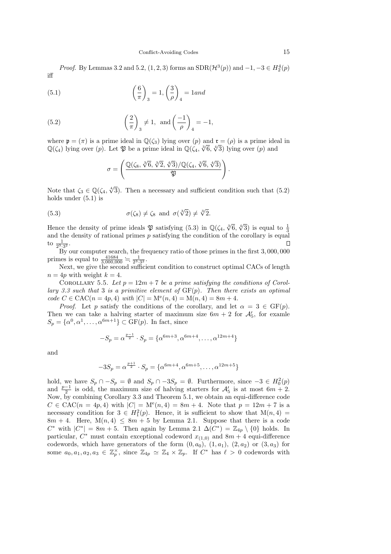*Proof.* By Lemmas 3.2 and 5.2,  $(1, 2, 3)$  forms an  $SDR(\mathcal{H}^{3}(p))$  and  $-1, -3 \in H_{2}^{4}(p)$ iff

(5.1) 
$$
\left(\frac{6}{\pi}\right)_3 = 1, \left(\frac{3}{\rho}\right)_4 = 1 \text{ and}
$$

(5.2) 
$$
\left(\frac{2}{\pi}\right)_3 \neq 1
$$
, and  $\left(\frac{-1}{\rho}\right)_4 = -1$ ,

where  $\mathfrak{p} = (\pi)$  is a prime ideal in  $\mathbb{Q}(\zeta_3)$  lying over  $(p)$  and  $\mathfrak{r} = (\rho)$  is a prime ideal in where  $\phi$  (*n*) is a prime radar in  $\zeta(s_2)$ ,  $j$  ing over (*p*) and  $\zeta$  (*f*<sub>1</sub>) lying over (*p*) and  $\mathbb{Q}(\zeta_4)$  lying over (*p*) and

$$
\sigma=\left(\frac{\mathbb{Q}(\zeta_8,\sqrt[3]{6},\sqrt[3]{2},\sqrt[4]{3})/\mathbb{Q}(\zeta_4,\sqrt[3]{6},\sqrt[4]{3})}{\mathfrak{P}}\right).
$$

Note that  $\zeta_3 \in \mathbb{Q}(\zeta_4, \sqrt[4]{3})$ . Then a necessary and sufficient condition such that (5.2) holds under (5.1) is

(5.3) 
$$
\sigma(\zeta_8) \neq \zeta_8 \text{ and } \sigma(\sqrt[3]{2}) \neq \sqrt[3]{2}.
$$

Hence the density of prime ideals  $\mathfrak P$  satisfying (5.3) in  $\mathbb Q(\zeta_4, \sqrt[3]{6}, \sqrt[4]{3})$  is equal to  $\frac{1}{3}$ and the density of rational primes  $p$  satisfying the condition of the corollary is equal to  $\frac{1}{2^3 \cdot 3^2}$ . П

By our computer search, the frequency ratio of those primes in the first 3, 000, 000 primes is equal to  $\frac{41684}{3,000,000} = \frac{1}{2^3 \cdot 3^2}$ .

Next, we give the second sufficient condition to construct optimal CACs of length  $n = 4p$  with weight  $k = 4$ .

COROLLARY 5.5. Let  $p = 12m + 7$  be a prime satisfying the conditions of Corollary 3.3 such that 3 is a primitive element of  $GF(p)$ . Then there exists an optimal  $code C \in CAC(n = 4p, 4) \text{ with } |C| = M^e(n, 4) = M(n, 4) = 8m + 4.$ 

*Proof.* Let p satisfy the conditions of the corollary, and let  $\alpha = 3 \in \text{GF}(p)$ . Then we can take a halving starter of maximum size  $6m + 2$  for  $\mathcal{A}'_5$ , for examle  $S_p = {\alpha^0, \alpha^1, \ldots, \alpha^{6m+1}} \subset \text{GF}(p)$ . In fact, since

$$
-S_p = \alpha^{\frac{p-1}{2}} \cdot S_p = \{ \alpha^{6m+3}, \alpha^{6m+4}, \dots, \alpha^{12m+4} \}
$$

and

$$
-3S_p = \alpha^{\frac{p+1}{2}} \cdot S_p = \{ \alpha^{6m+4}, \alpha^{6m+5}, \dots, \alpha^{12m+5} \}
$$

hold, we have  $S_p \cap -S_p = \emptyset$  and  $S_p \cap -3S_p = \emptyset$ . Furthermore, since  $-3 \in H_0^2(p)$ and  $\frac{p-1}{2}$  is odd, the maximum size of halving starters for  $\mathcal{A}'_5$  is at most  $6m + 2$ . Now, by combining Corollary 3.3 and Theorem 5.1, we obtain an equi-difference code  $C \in \text{CAC}(n = 4p, 4)$  with  $|C| = M^e(n, 4) = 8m + 4$ . Note that  $p = 12m + 7$  is a necessary condition for  $3 \in H_1^2(p)$ . Hence, it is sufficient to show that  $M(n, 4) =$  $8m + 4$ . Here,  $M(n, 4) \leq 8m + 5$  by Lemma 2.1. Suppose that there is a code  $C^*$  with  $|C^*| = 8m + 5$ . Then again by Lemma 2.1  $\Delta(C^*) = \mathbb{Z}_{4p} \setminus \{0\}$  holds. In particular,  $C^*$  must contain exceptional codeword  $x_{(1,0)}$  and  $8m + 4$  equi-difference codewords, which have generators of the form  $(0, a_0)$ ,  $(1, a_1)$ ,  $(2, a_2)$  or  $(3, a_3)$  for some  $a_0, a_1, a_2, a_3 \in \mathbb{Z}_p^{\times}$ , since  $\mathbb{Z}_{4p} \simeq \mathbb{Z}_4 \times \mathbb{Z}_p$ . If  $C^*$  has  $\ell > 0$  codewords with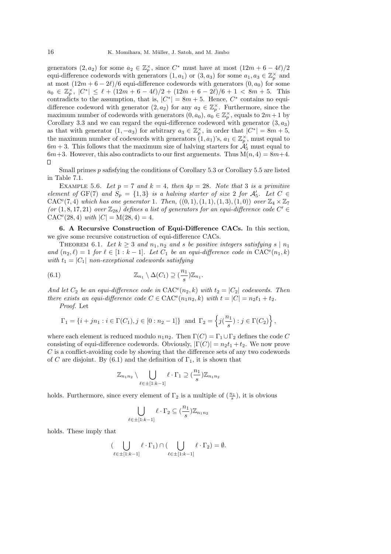generators  $(2, a_2)$  for some  $a_2 \in \mathbb{Z}_p^{\times}$ , since  $C^*$  must have at most  $(12m + 6 - 4\ell)/2$ equi-difference codewords with generators  $(1, a_1)$  or  $(3, a_3)$  for some  $a_1, a_3 \in \mathbb{Z}_p^{\times}$  and at most  $(12m + 6 - 2\ell)/6$  equi-difference codewords with generators  $(0, a_0)$  for some  $a_0 \in \mathbb{Z}_p^{\times}$ ,  $|C^*| \leq \ell + (12m + 6 - 4\ell)/2 + (12m + 6 - 2\ell)/6 + 1 < 8m + 5$ . This contradicts to the assumption, that is,  $|C^*| = 8m + 5$ . Hence,  $C^*$  contains no equidifference codeword with generator  $(2, a_2)$  for any  $a_2 \in \mathbb{Z}_p^{\times}$ . Furthermore, since the maximum number of codewords with generators  $(0, a_0)$ ,  $a_0 \in \mathbb{Z}_p^{\times}$ , equals to  $2m+1$  by Corollary 3.3 and we can regard the equi-difference codeword with generator  $(3, a_3)$ as that with generator  $(1, -a_3)$  for arbitrary  $a_3 \in \mathbb{Z}_p^{\times}$ , in order that  $|C^*| = 8m + 5$ , the maximum number of codewords with generators  $(1, a_1)$ 's,  $a_1 \in \mathbb{Z}_p^{\times}$ , must equal to  $6m + 3$ . This follows that the maximum size of halving starters for  $\mathcal{A}'_5$  must equal to  $6m+3$ . However, this also contradicts to our first arguements. Thus  $M(n, 4) = 8m+4$ .  $\Box$ 

Small primes p safisfying the conditions of Corollary 5.3 or Corollary 5.5 are listed in Table 7.1.

EXAMPLE 5.6. Let  $p = 7$  and  $k = 4$ , then  $4p = 28$ . Note that 3 is a primitive element of GF(7) and  $S_p = \{1,3\}$  is a halving starter of size 2 for  $\mathcal{A}'_5$ . Let  $C \in$ CAC<sup>e</sup>(7, 4) which has one generator 1. Then,  $((0, 1), (1, 1), (1, 3), (1, 0))$  over  $\mathbb{Z}_4 \times \mathbb{Z}_7$ (or  $(1, 8, 17, 21)$  over  $\mathbb{Z}_{28}$ ) defines a list of generators for an equi-difference code  $C' \in$  $CAC^{e}(28, 4)$  with  $|C| = M(28, 4) = 4$ .

6. A Recursive Construction of Equi-Difference CACs. In this section, we give some recursive construction of equi-difference CACs.

THEOREM 6.1. Let  $k \geq 3$  and  $n_1, n_2$  and s be positive integers satisfying s |  $n_1$ and  $(n_2, \ell) = 1$  for  $\ell \in [1 : k-1]$ . Let  $C_1$  be an equi-difference code in  $CAC^e(n_1, k)$ with  $t_1 = |C_1|$  non-exceptional codewords satisfying

(6.1) 
$$
\mathbb{Z}_{n_1} \setminus \Delta(C_1) \supseteq \left(\frac{n_1}{s}\right) \mathbb{Z}_{n_1}.
$$

And let  $C_2$  be an equi-difference code in  $CAC<sup>e</sup>(n_2, k)$  with  $t_2 = |C_2|$  codewords. Then there exists an equi-difference code  $C \in \text{CAC}^e(n_1 n_2, k)$  with  $t = |C| = n_2 t_1 + t_2$ .

Proof. Let

$$
\Gamma_1 = \{i + jn_1 : i \in \Gamma(C_1), j \in [0 : n_2 - 1]\}
$$
 and  $\Gamma_2 = \left\{j(\frac{n_1}{s}) : j \in \Gamma(C_2)\right\}$ ,

where each element is reduced modulo  $n_1n_2$ . Then  $\Gamma(C) = \Gamma_1 \cup \Gamma_2$  defines the code C consisting of equi-difference codewords. Obviously,  $|\Gamma(C)| = n_2 t_1 + t_2$ . We now prove C is a conflict-avoiding code by showing that the difference sets of any two codewords of C are disjoint. By (6.1) and the definition of  $\Gamma_1$ , it is shown that

$$
\mathbb{Z}_{n_1n_2}\setminus\bigcup_{\ell\in\pm[1:k-1]}\ell\cdot\Gamma_1\supseteq(\frac{n_1}{s})\mathbb{Z}_{n_1n_2}
$$

holds. Furthermore, since every element of  $\Gamma_2$  is a multiple of  $(\frac{n_1}{s})$ , it is obvious

$$
\bigcup_{\ell \in \pm [1:k-1]} \ell \cdot \Gamma_2 \subseteq \left(\frac{n_1}{s}\right) \mathbb{Z}_{n_1 n_2}
$$

holds. These imply that

$$
(\bigcup_{\ell \in \pm [1:k-1]} \ell \cdot \Gamma_1) \cap (\bigcup_{\ell \in \pm [1:k-1]} \ell \cdot \Gamma_2) = \emptyset.
$$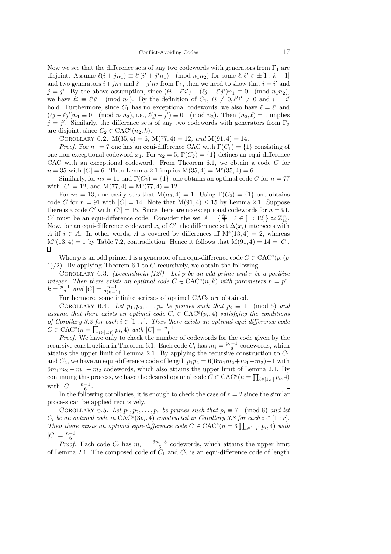Now we see that the difference sets of any two codewords with generators from  $\Gamma_1$  are disjoint. Assume  $\ell(i + jn_1) \equiv \ell'(i' + j'n_1) \pmod{n_1 n_2}$  for some  $\ell, \ell' \in \pm [1 : k - 1]$ and two generators  $i + jn_1$  and  $i' + j'n_2$  from  $\Gamma_1$ , then we need to show that  $i = i'$  and  $j = j'$ . By the above assumption, since  $(\ell i - \ell' i') + (\ell j - \ell' j')n_1 \equiv 0 \pmod{n_1 n_2}$ , we have  $\ell i \equiv \ell' i' \pmod{n_1}$ . By the definition of  $C_1$ ,  $\ell i \neq 0$ ,  $\ell' i' \neq 0$  and  $i = i'$ hold. Furthermore, since  $C_1$  has no exceptional codewords, we also have  $\ell = \ell'$  and  $(\ell j - \ell j')n_1 \equiv 0 \pmod{n_1 n_2}$ , i.e.,  $\ell(j - j') \equiv 0 \pmod{n_2}$ . Then  $(n_2, \ell) = 1$  implies  $j = j'$ . Similarly, the difference sets of any two codewords with generators from  $\Gamma_2$ are disjoint, since  $C_2 \in \text{CAC}^e(n_2, k)$ . П

COROLLARY 6.2.  $M(35, 4) = 6$ ,  $M(77, 4) = 12$ , and  $M(91, 4) = 14$ .

*Proof.* For  $n_1 = 7$  one has an equi-difference CAC with  $\Gamma(C_1) = \{1\}$  consisting of one non-exceptional codeword  $x_1$ . For  $n_2 = 5$ ,  $\Gamma(C_2) = \{1\}$  defines an equi-difference CAC with an exceptional codeword. From Theorem 6.1, we obtain a code C for  $n = 35$  with  $|C| = 6$ . Then Lemma 2.1 implies  $M(35, 4) = M^e(35, 4) = 6$ .

Similarly, for  $n_2 = 11$  and  $\Gamma(C_2) = \{1\}$ , one obtains an optimal code C for  $n = 77$ with  $|C| = 12$ , and  $M(77, 4) = M<sup>e</sup>(77, 4) = 12$ .

For  $n_2 = 13$ , one easily sees that  $M(n_2, 4) = 1$ . Using  $\Gamma(C_2) = \{1\}$  one obtains code C for  $n = 91$  with  $|C| = 14$ . Note that  $M(91, 4) \le 15$  by Lemma 2.1. Suppose there is a code C' with  $|C'| = 15$ . Since there are no exceptional codewords for  $n = 91$ , C' must be an equi-difference code. Consider the set  $A = \{\frac{\ell n}{7} : \ell \in [1:12]\} \simeq \mathbb{Z}_{13}^{\times}$ . Now, for an equi-difference codeword  $x_i$  of  $C'$ , the difference set  $\Delta(x_i)$  intersects with A iff  $i \in A$ . In other words, A is covered by differences iff  $M<sup>e</sup>(13, 4) = 2$ , whereas  $M<sup>e</sup>(13, 4) = 1$  by Table 7.2, contradiction. Hence it follows that  $M(91, 4) = 14 = |C|$ .  $\Box$ 

When p is an odd prime, 1 is a generator of an equi-difference code  $C \in \text{CAC}^e(p, (p-\lambda))$ 1)/2). By applying Theorem 6.1 to C recursively, we obtain the following.

COROLLARY 6.3. (Levenshtein  $(12)$ ) Let p be an odd prime and r be a positive integer. Then there exists an optimal code  $C \in \text{CAC}^e(n,k)$  with parameters  $n = p^r$ ,  $k = \frac{p+1}{2}$  and  $|C| = \frac{n-1}{2(k-1)}$ .

Furthermore, some infinite serieses of optimal CACs are obtained.

COROLLARY 6.4. Let  $p_1, p_2, \ldots, p_r$  be primes such that  $p_i \equiv 1 \pmod{6}$  and assume that there exists an optimal code  $C_i \in \text{CAC}^e(p_i, 4)$  satisfying the conditions of Corollary 3.3 for each  $i \in [1 : r]$ . Then there exists an optimal equi-difference code  $C \in \text{CAC}^e(n = \prod_{i \in [1:r]} p_i, 4) \text{ with } |C| = \frac{n-1}{6}.$ 

Proof. We have only to check the number of codewords for the code given by the recursive construction in Theorem 6.1. Each code  $C_i$  has  $m_i = \frac{p_i - 1}{6}$  codewords, which attains the upper limit of Lemma 2.1. By applying the recursive construction to  $C_1$ and  $C_2$ , we have an equi-difference code of length  $p_1p_2 = 6(6m_1m_2+m_1+m_2)+1$  with  $6m_1m_2 + m_1 + m_2$  codewords, which also attains the upper limit of Lemma 2.1. By continuing this process, we have the desired optimal code  $C \in \text{CAC}^e(n = \prod_{i \in [1:r]} p_i, 4)$ with  $|C| = \frac{n-1}{6}$ .  $\overline{\Pi}$ 

In the following corollaries, it is enough to check the case of  $r = 2$  since the similar process can be applied recursively.

COROLLARY 6.5. Let  $p_1, p_2, \ldots, p_r$  be primes such that  $p_i \equiv 7 \pmod{8}$  and let  $C_i$  be an optimal code in  $\text{CAC}^e(3p_i, 4)$  constructed in Corollary 3.8 for each  $i \in [1:r]$ . Then there exists an optimal equi-difference code  $C \in \text{CAC}^e(n=3 \prod_{i \in [1:r]} p_i, 4)$  with  $|C| = \frac{n-3}{6}$ .

*Proof.* Each code  $C_i$  has  $m_i = \frac{3p_i-3}{6}$  codewords, which attains the upper limit of Lemma 2.1. The composed code of  $C_1$  and  $C_2$  is an equi-difference code of length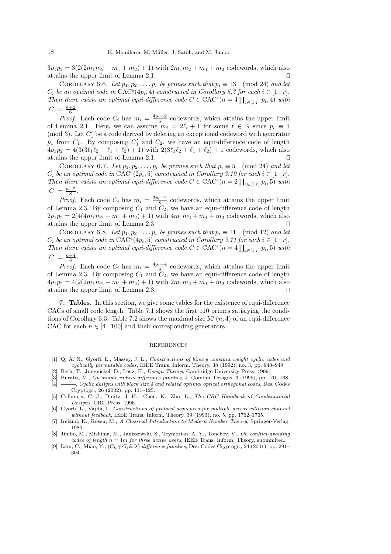$3p_1p_2 = 3(2(2m_1m_2 + m_1 + m_2) + 1)$  with  $2m_1m_2 + m_1 + m_2$  codewords, which also attains the upper limit of Lemma 2.1.  $\Box$ 

COROLLARY 6.6. Let  $p_1, p_2, \ldots, p_r$  be primes such that  $p_i \equiv 13 \pmod{24}$  and let  $C_i$  be an optimal code in  $\text{CAC}^e(4p_i, 4)$  constructed in Corollary 5.3 for each  $i \in [1:r]$ . Then there exists an optimal equi-difference code  $C \in \text{CAC}^e(n = 4 \prod_{i \in [1:r]} p_i, 4)$  with  $|C| = \frac{n+2}{6}$ .

*Proof.* Each code  $C_i$  has  $m_i = \frac{4p_i+2}{6}$  codewords, which attains the upper limit of Lemma 2.1. Here, we can assume  $m_i = 2\ell_i + 1$  for some  $\ell \in \mathbb{N}$  since  $p_i \equiv 1$ (mod 3). Let  $C'_1$  be a code derived by deleting an exceptional codeword with generator  $p_1$  from  $C_1$ . By composing  $C'_1$  and  $C_2$ , we have an equi-difference code of length  $4p_1p_2 = 4(3(3\ell_1\ell_2 + \ell_1 + \ell_2) + 1)$  with  $2(3\ell_1\ell_2 + \ell_1 + \ell_2) + 1$  codewords, which also attains the upper limit of Lemma 2.1. П

COROLLARY 6.7. Let  $p_1, p_2, \ldots, p_r$  be primes such that  $p_i \equiv 5 \pmod{24}$  and let  $C_i$  be an optimal code in  $\text{CAC}^e(2p_i, 5)$  constructed in Corollary 3.10 for each  $i \in [1:r]$ . Then there exists an optimal equi-difference code  $C \in \text{CAC}^e(n = 2 \prod_{i \in [1:r]} p_i, 5)$  with  $|C| = \frac{n-2}{8}$ .

*Proof.* Each code  $C_i$  has  $m_i = \frac{2p_i-2}{8}$  codewords, which attains the upper limit of Lemma 2.3. By composing  $C_1$  and  $C_2$ , we have an equi-difference code of length  $2p_1p_2 = 2(4(4m_1m_2 + m_1 + m_2) + 1)$  with  $4m_1m_2 + m_1 + m_2$  codewords, which also attains the upper limit of Lemma 2.3.  $\mathsf{\Pi}$ 

COROLLARY 6.8. Let  $p_1, p_2, \ldots, p_r$  be primes such that  $p_i \equiv 11 \pmod{12}$  and let  $C_i$  be an optimal code in  $\text{CAC}^e(4p_i, 5)$  constructed in Corollary 3.11 for each  $i \in [1:r]$ . Then there exists an optimal equi-difference code  $C \in \text{CAC}^e(n = 4 \prod_{i \in [1:r]} p_i, 5)$  with  $|C| = \frac{n-4}{8}$ .

*Proof.* Each code  $C_i$  has  $m_i = \frac{4p_i-4}{8}$  codewords, which attains the upper limit of Lemma 2.3. By composing  $C_1$  and  $C_2$ , we have an equi-difference code of length  $4p_1p_2 = 4(2(2m_1m_2 + m_1 + m_2) + 1)$  with  $2m_1m_2 + m_1 + m_2$  codewords, which also attains the upper limit of Lemma 2.3.

7. Tables. In this section, we give some tables for the existence of equi-difference CACs of small code length. Table 7.1 shows the first 110 primes satisfying the conditions of Corollary 3.3. Table 7.2 shows the maximal size  $M^{e}(n, 4)$  of an equi-difference CAC for each  $n \in [4:100]$  and their corresponding generators.

#### REFERENCES

- [1] Q, A. N., Györfi. L., Massey, J. L., Constructions of binary constant weight cyclic codes and cyclically permutable codes, IEEE Trans. Inform. Theory, 38 (1992), no. 3, pp. 940–949.
- [2] Beth, T., Jungnickel, D., Lenz, H., Design Theory, Cambridge University Press, 1999.
- [3] Buratti, M., On simple radical difference families, J. Combin. Designs, 3 (1995), pp. 161–168.<br>[4]  $\longrightarrow$ , Cyclic designs with block size 4 and related optimal optical orthogonal codes, Des. Codes  $-$ , Cyclic designs with block size 4 and related optimal optical orthogonal codes, Des. Codes Cryptogr., 26 (2002), pp. 111–125.
- [5] Colbourn, C. J., Dinitz, J. H.: Chen, K., Zhu, L., The CRC Handbook of Combinatorial Designs, CRC Press, 1996.
- [6] Györfi, L., Vajda, I., Constructions of protocol sequences for multiple access collision channel without feedback, IEEE Trans. Inform. Theory, 39 (1993), no. 5, pp. 1762-1765.
- [7] Ireland, K., Rosen, M., A Classical Introduction to Modern Number Theory, Springer-Verlag, 1980.
- [8] Jimbo, M., Mishima, M., Janiszewski, S., Teymorian, A. Y., Tonchev, V., On conflict-avoiding codes of length  $n = 4m$  for three active users, IEEE Trans. Inform. Theory, submmited.
- [9] Lam, C., Miao, Y.,  $(C_k \oplus G, k, \lambda)$  difference families, Des. Codes Cryptogr., 24 (2001), pp. 291– 304.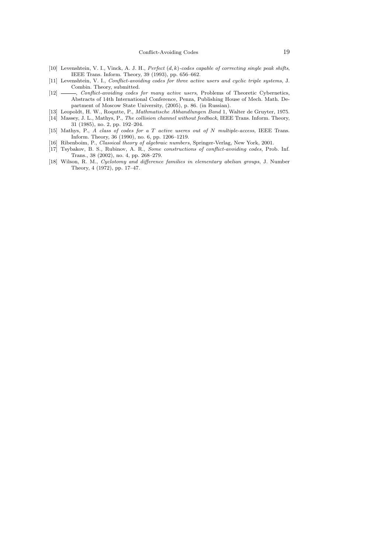- [10] Levenshtein, V. I., Vinck, A. J. H., Perfect  $(d, k)$ -codes capable of correcting single peak shifts, IEEE Trans. Inform. Theory, 39 (1993), pp. 656–662.
- [11] Levenshtein, V. I., Conflict-avoiding codes for three active users and cyclic triple systems, J. Combin. Theory, submitted.
- [12]  $\frac{1}{2}$ , Conflict-avoiding codes for many active users, Problems of Theoretic Cybernetics, Abstracts of 14th International Conference, Penza, Publishing House of Mech. Math. Department of Moscow State University, (2005), p. 86. (in Russian).
- [13] Leopoldt, H. W., Roqutte, P., Mathmatische Abhandlungen Band 1, Walter de Gruyter, 1975. [14] Massey, J. L., Mathys, P., The collision channel without feedback, IEEE Trans. Inform. Theory,
- 31 (1985), no. 2, pp. 192–204.
- [15] Mathys, P., A class of codes for a T active useres out of N multiple-access, IEEE Trans. Inform. Theory, 36 (1990), no. 6, pp. 1206–1219.
- [16] Ribenboim, P., Classical theory of algebraic numbers, Springer-Verlag, New York, 2001.
- [17] Tsybakov, B. S., Rubinov, A. R., Some constructions of conflict-avoiding codes, Prob. Inf. Trans., 38 (2002), no. 4, pp. 268–279.
- [18] Wilson, R. M., Cyclotomy and difference families in elementary abelian groups, J. Number Theory, 4 (1972), pp. 17–47.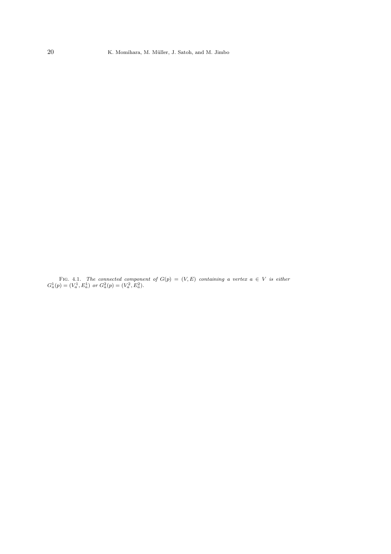FIG. 4.1. The connected component of  $G(p) = (V, E)$  containing a vertex  $a \in V$  is either  $G_a^1(p) = (V_a^1, E_a^1)$  or  $G_a^2(p) = (V_a^2, E_a^2)$ .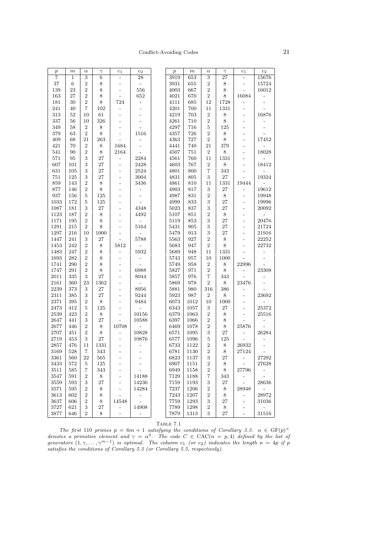# Conflict-Avoiding Codes 21

| $\boldsymbol{p}$ | $_{m}$       | $\alpha$          | $\gamma$    | $c_1$                    | $\mathfrak{c}_2$         | $\boldsymbol{p}$ | $\,m$    | $\alpha$                | $\gamma$    | $c_1$                    | $c_2$                    |
|------------------|--------------|-------------------|-------------|--------------------------|--------------------------|------------------|----------|-------------------------|-------------|--------------------------|--------------------------|
| 7                | $\mathbf{1}$ | 3                 | $\,6\,$     | $\overline{\phantom{0}}$ | 28                       | 3919             | 653      | 3                       | 27          |                          | 15676                    |
| $37\,$           | 6            | $\overline{2}$    | $\,$ 8 $\,$ | -                        |                          | 3931             | 655      | $\overline{2}$          | 8           |                          | 15724                    |
| 139              | 23           | $\overline{2}$    | $\,$ 8 $\,$ | $\overline{a}$           | 556                      | 4003             | 667      | $\boldsymbol{2}$        | $\,$ 8 $\,$ |                          | 16012                    |
| 163              | 27           | $\,2$             | $\,$ 8 $\,$ | $\overline{a}$           | 652                      | 4021             | 670      | $\,2$                   | $\,8\,$     | 16084                    |                          |
| 181              | 30           | $\overline{2}$    | $\,$ 8 $\,$ | 724                      |                          | 4111             | 685      | 12                      | 1728        |                          |                          |
| $241\,$          | 40           | $\scriptstyle{7}$ | 102         |                          |                          | 4201             | 700      | 11                      | 1331        |                          |                          |
| $313\,$          | 52           | 10                | 61          |                          |                          | 4219             | 703      | $\,2$                   | $8\,$       |                          | 16876                    |
| 337              | 56           | 10                | 326         | $\overline{\phantom{0}}$ |                          | 4261             | 710      | $\sqrt{2}$              | $\,8\,$     |                          |                          |
| 349              | 58           | $\boldsymbol{2}$  | $8\,$       |                          |                          | 4297             | 716      | $\bf 5$                 | 125         |                          | $\overline{\phantom{a}}$ |
| 379              | 63           | $\sqrt{2}$        | $\,8\,$     | $\overline{a}$           | 1516                     | 4357             | 726      | $\sqrt{2}$              | $\,8\,$     |                          |                          |
| 409              | 68           | 21                | 263         |                          |                          | 4363             | 727      | $\,2$                   | $\,8\,$     | $\overline{a}$           | 17452                    |
| 421              | 70           | $\,2$             | $8\,$       | 1684                     |                          | 4441             | 740      | 21                      | $379\,$     |                          |                          |
| 541              | 90           | $\overline{2}$    | $\,8\,$     | 2164                     |                          | 4507             | 751      | $\boldsymbol{2}$        | 8           | $\overline{\phantom{0}}$ | 18028                    |
| 571              | $\bf{95}$    | 3                 | 27          | $\overline{a}$           | 2284                     | 4561             | 760      | 11                      | 1331        | $\overline{a}$           |                          |
| 607              | 101          | 3                 | $\sqrt{27}$ | $\overline{a}$           | 2428                     | 4603             | 767      | $\boldsymbol{2}$        | $\,$ 8 $\,$ | $\overline{a}$           | 18412                    |
| 631              | 105          | 3                 | 27          | $\overline{a}$           | 2524                     | 4801             | 800      | $\overline{\mathbf{7}}$ | 343         |                          |                          |
| 751              | 125          | 3                 | 27          | $\overline{a}$           | 3004                     | 4831             | 805      | $\sqrt{3}$              | $27\,$      | $\overline{a}$           | 19324                    |
| $859\,$          | 143          | $\overline{2}$    | $\,8\,$     | $\overline{\phantom{a}}$ | 3436                     | 4861             | 810      | 11                      | 1331        | 19444                    |                          |
| $877\,$          | 146          | $\overline{2}$    | $8\,$       | $\overline{\phantom{0}}$ |                          | 4903             | 817      | $\sqrt{3}$              | $27\,$      |                          | 19612                    |
| 937              | 156          | 5                 | 125         | $\overline{a}$           | $\overline{\phantom{a}}$ | 4987             | 831      | $\,2$                   | $\,8\,$     | $\overline{a}$           | 19948                    |
| 1033             | 172          | 5                 | 125         | $\overline{\phantom{0}}$ |                          | 4999             | 833      | 3                       | 27          | $\overline{a}$           | 19996                    |
| 1087             | 181          | $\sqrt{3}$        | 27          | $\overline{\phantom{0}}$ | 4348                     | 5023             | 837      | $\sqrt{3}$              | $27\,$      | $\overline{a}$           | $\boldsymbol{20092}$     |
| 1123             | 187          | $\overline{2}$    | $\,$ $\,$   | $\overline{a}$           | 4492                     | $5107\,$         | 851      | $\overline{2}$          | $\,8\,$     | $\overline{a}$           |                          |
| 1171             | 195          | $\overline{2}$    | $8\,$       | $\overline{a}$           |                          | 5119             | 853      | 3                       | $27\,$      |                          | 20476                    |
| 1291             | 215          | $\,2$             | 8           |                          | 5164                     | 5431             | 905      | 3                       | $27\,$      |                          | 21724                    |
| 1297             | 216          | 10                | 1000        |                          |                          | 5479             | 913      | $\,3$                   | $27\,$      |                          | 21916                    |
| 1447             | 241          | $\sqrt{3}$        | 27          | $\overline{a}$           | 5788                     | 5563             | 927      | $\,2$                   | $\,8\,$     | $\overline{a}$           | 22252                    |
| 1453             | 242          | $\sqrt{2}$        | $\,$ $\,$   | 5812                     |                          | 5683             | 947      | $\sqrt{2}$              | $\,$ 8 $\,$ |                          | $22732\,$                |
| 1483             | 247          | $\sqrt{2}$        | $\,8\,$     |                          | 5932                     | 5689             | 948      | 11                      | 1331        |                          |                          |
| 1693             | 282          | $\,2$             | $\,8\,$     | $\overline{a}$           |                          | 5743             | 957      | 10                      | 1000        |                          | $\overline{a}$           |
| 1741             | 290          | $\overline{2}$    | $\,8\,$     |                          |                          | 5749             | 958      | $\boldsymbol{2}$        | 8           | 22996                    |                          |
| 1747             | 291          | $\overline{2}$    | $\,$ $\,$   | $\overline{a}$           | 6988                     | 5827             | 971      | $\overline{2}$          | $\,8\,$     | $\overline{a}$           | 23308                    |
| $2011\,$         | 335          | 3                 | 27          | $\overline{\phantom{0}}$ | 8044                     | 5857             | 976      | $\overline{\mathbf{7}}$ | 343         |                          |                          |
| 2161             | 360          | 23                | 1362        | $\overline{\phantom{0}}$ |                          | 5869             | 978      | $\overline{2}$          | $8\,$       | 23476                    | $\overline{\phantom{0}}$ |
| 2239             | 373          | $\sqrt{3}$        | 27          | $\overline{\phantom{0}}$ | 8956                     | $5881\,$         | 980      | 316                     | 386         |                          |                          |
| 2311             | 385          | 3                 | $\sqrt{27}$ | $\overline{a}$           | 9244                     | 5923             | 987      | $\,2$                   | $8\,$       | $\overline{a}$           | 23692                    |
| $2371\,$         | 395          | $\overline{2}$    | $\,8\,$     | $\overline{\phantom{a}}$ | 9484                     | 6073             | 1012     | 10                      | 1000        |                          |                          |
| 2473             | 412          | 5                 | 125         | $\overline{\phantom{0}}$ |                          | 6343             | 1057     | $\sqrt{3}$              | $27\,$      |                          | 25372                    |
| 2539             | 423          | $\overline{2}$    | $\,8\,$     |                          | 10156                    | 6379             | 1063     | $\overline{2}$          | $\,8\,$     | $\overline{a}$           | 25516                    |
| 2647             | 441          | 3                 | 27          | $\overline{a}$           | 10588                    | 6397             | 1066     | $\,2$                   | 8           |                          |                          |
| 2677             | 446          | $\boldsymbol{2}$  | $8\,$       | 10708                    |                          | 6469             | 1078     | $\boldsymbol{2}$        | 8           | 25876                    |                          |
| 2707             | 451          | $\sqrt{2}$        | 8           |                          | 10828                    | 6571             | $1095\,$ | $\,3$                   | $27\,$      | $\overline{\phantom{0}}$ | 26284                    |
| 2719             | 453          | 3                 | $\sqrt{27}$ | $\overline{a}$           | 10876                    | 6577             | 1096     | $\bf 5$                 | 125         |                          |                          |
| 2857             | 476          | 11                | 1331        |                          |                          | 6733             | 1122     | $\overline{2}$          | 8           | 26932                    |                          |
| 3169             | 528          | $\,7$             | 343         |                          |                          | 6781             | 1130     | $\overline{2}$          | $\,$ 8 $\,$ | 27124                    |                          |
| $3361\,$         | 560          | $\bf{22}$         | 565         | $\overline{a}$           |                          | 6823             | 1137     | 3                       | $27\,$      | $\frac{1}{2}$            | 27292                    |
| 3433             | $572\,$      | $\bf 5$           | $125\,$     |                          | $\overline{\phantom{a}}$ | 6907             | $1151\,$ | $\sqrt{2}$              | 8           | $\sim$                   | 27628                    |
| 3511             | 585          | 7                 | 343         | $\overline{\phantom{0}}$ | $\overline{\phantom{a}}$ | 6949             | 1158     | $\boldsymbol{2}$        | 8           | 27796                    |                          |
| 3547             | 591          | 2                 | 8           | $\overline{\phantom{0}}$ | 14188                    | 7129             | 1188     | $\overline{7}$          | 343         |                          |                          |
| 3559             | 593          | 3                 | 27          | $\overline{\phantom{0}}$ | 14236                    | 7159             | 1193     | 3                       | 27          | $\blacksquare$           | 28636                    |
| $3571\,$         | 595          | 2                 | 8           | $\overline{\phantom{a}}$ | 14284                    | 7237             | 1206     | $\overline{2}$          | 8           | 28948                    |                          |
| 3613             | 602          | $\overline{2}$    | 8           |                          | $\overline{\phantom{a}}$ | 7243             | 1207     | $\overline{2}$          | 8           | $\overline{\phantom{a}}$ | 28972                    |
| 3637             | 606          | $\overline{2}$    | 8           | 14548                    | $\overline{\phantom{a}}$ | 7759             | 1293     | 3                       | 27          | $\overline{\phantom{a}}$ | 31036                    |
| 3727             | 621          | 3                 | 27          | $\overline{\phantom{0}}$ | 14908                    | 7789             | 1298     | $\boldsymbol{2}$        | 8           |                          | $\overline{a}$           |
| 3877             | 646          | $\overline{2}$    | 8           | $\overline{\phantom{a}}$ | $\overline{\phantom{a}}$ | 7879             | 1313     | 3                       | $27\,$      | $\overline{\phantom{0}}$ | 31516                    |

TABLE  $7.1\,$ 

The first 110 primes  $p = 6m + 1$  satisfying the conditions of Corollary 3.3.  $\alpha \in \text{GF}(p)^{\times}$ denotes a primitive element and  $\gamma = \alpha^3$ . The code  $C \in \text{CAC}(n = p, 4)$  defined by the list of generators  $(1, \gamma, ..., \gamma^{m-1})$  is optimal. The column  $c_1$  (or  $c_2$ ) indicates the length  $n = 4p$  if p satisfies the conditions of Corollary 5.3 (or Corollary 5.5, respectively).